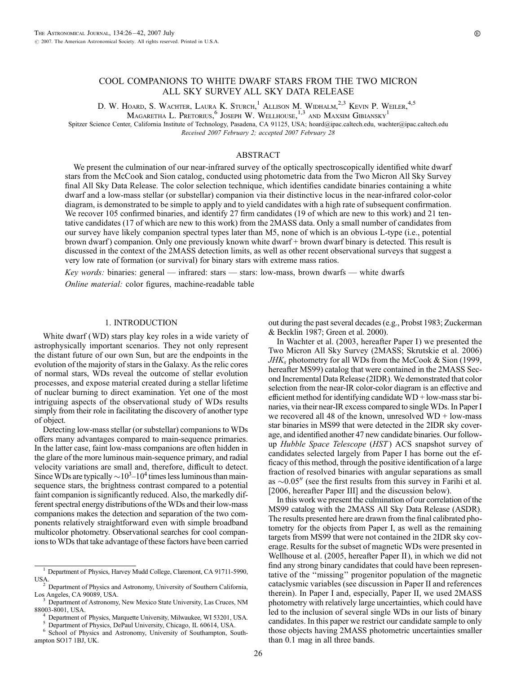# COOL COMPANIONS TO WHITE DWARF STARS FROM THE TWO MICRON ALL SKY SURVEY ALL SKY DATA RELEASE

D. W. Hoard, S. Wachter, Laura K. Sturch,<sup>1</sup> Allison M. Widhalm.<sup>2,3</sup> Kevin P. Weiler.<sup>4,5</sup>

Magaretha L. Pretorius, $^6$  Joseph W. Wellhouse,  $^{1,3}$  and Maxsim Gibiansky  $^1$ 

Spitzer Science Center, California Institute of Technology, Pasadena, CA 91125, USA; hoard@ipac.caltech.edu, wachter@ipac.caltech.edu Received 2007 February 2; accepted 2007 February 28

### ABSTRACT

We present the culmination of our near-infrared survey of the optically spectroscopically identified white dwarf stars from the McCook and Sion catalog, conducted using photometric data from the Two Micron All Sky Survey final All Sky Data Release. The color selection technique, which identifies candidate binaries containing a white dwarf and a low-mass stellar (or substellar) companion via their distinctive locus in the near-infrared color-color diagram, is demonstrated to be simple to apply and to yield candidates with a high rate of subsequent confirmation. We recover 105 confirmed binaries, and identify 27 firm candidates (19 of which are new to this work) and 21 tentative candidates (17 of which are new to this work) from the 2MASS data. Only a small number of candidates from our survey have likely companion spectral types later than M5, none of which is an obvious L-type (i.e., potential brown dwarf ) companion. Only one previously known white dwarf + brown dwarf binary is detected. This result is discussed in the context of the 2MASS detection limits, as well as other recent observational surveys that suggest a very low rate of formation (or survival) for binary stars with extreme mass ratios.

Key words: binaries: general — infrared: stars — stars: low-mass, brown dwarfs — white dwarfs

Online material: color figures, machine-readable table

# 1. INTRODUCTION

White dwarf (WD) stars play key roles in a wide variety of astrophysically important scenarios. They not only represent the distant future of our own Sun, but are the endpoints in the evolution of the majority of stars in the Galaxy. As the relic cores of normal stars, WDs reveal the outcome of stellar evolution processes, and expose material created during a stellar lifetime of nuclear burning to direct examination. Yet one of the most intriguing aspects of the observational study of WDs results simply from their role in facilitating the discovery of another type of object.

Detecting low-mass stellar (or substellar) companions to WDs offers many advantages compared to main-sequence primaries. In the latter case, faint low-mass companions are often hidden in the glare of the more luminous main-sequence primary, and radial velocity variations are small and, therefore, difficult to detect. Since WDs are typically  $\sim10^3$ – $10^4$  times less luminous than mainsequence stars, the brightness contrast compared to a potential faint companion is significantly reduced. Also, the markedly different spectral energy distributions of the WDs and their low-mass companions makes the detection and separation of the two components relatively straightforward even with simple broadband multicolor photometry. Observational searches for cool companions to WDs that take advantage of these factors have been carried out during the past several decades (e.g., Probst 1983; Zuckerman & Becklin 1987; Green et al. 2000).

In Wachter et al.  $(2003, hereafter Paper I)$  we presented the Two Micron All Sky Survey (2MASS; Skrutskie et al. 2006)  $JHK<sub>s</sub>$  photometry for all WDs from the McCook & Sion (1999, hereafter MS99) catalog that were contained in the 2MASS Second Incremental Data Release (2IDR). We demonstrated that color selection from the near-IR color-color diagram is an effective and efficient method for identifying candidate WD + low-mass star binaries, via their near-IR excess compared to single WDs. In Paper I we recovered all 48 of the known, unresolved  $WD + low-mass$ star binaries in MS99 that were detected in the 2IDR sky coverage, and identified another 47 new candidate binaries. Our followup Hubble Space Telescope (HST) ACS snapshot survey of candidates selected largely from Paper I has borne out the efficacy of this method, through the positive identification of a large fraction of resolved binaries with angular separations as small as  $\sim 0.05$ <sup>"</sup> (see the first results from this survey in Farihi et al. [2006, hereafter Paper III] and the discussion below).

In this work we present the culmination of our correlation of the MS99 catalog with the 2MASS All Sky Data Release (ASDR). The results presented here are drawn from the final calibrated photometry for the objects from Paper I, as well as the remaining targets from MS99 that were not contained in the 2IDR sky coverage. Results for the subset of magnetic WDs were presented in Wellhouse et al. (2005, hereafter Paper II), in which we did not find any strong binary candidates that could have been representative of the ''missing'' progenitor population of the magnetic cataclysmic variables (see discussion in Paper II and references therein). In Paper I and, especially, Paper II, we used 2MASS photometry with relatively large uncertainties, which could have led to the inclusion of several single WDs in our lists of binary candidates. In this paper we restrict our candidate sample to only those objects having 2MASS photometric uncertainties smaller than 0.1 mag in all three bands.

<sup>1</sup> Department of Physics, Harvey Mudd College, Claremont, CA 91711-5990,

<sup>&</sup>lt;sup>2</sup> Department of Physics and Astronomy, University of Southern California, Los Angeles, CA 90089, USA.

 $^3$  Department of Astronomy, New Mexico State University, Las Cruces, NM 88003-8001, USA.

Department of Physics, Marquette University, Milwaukee, WI 53201, USA.<br>Department of Physics, DePaul University, Chicago, IL 60614, USA.<br>School of Physics and Astronomy, University of Southampton, South-

ampton SO17 1BJ, UK.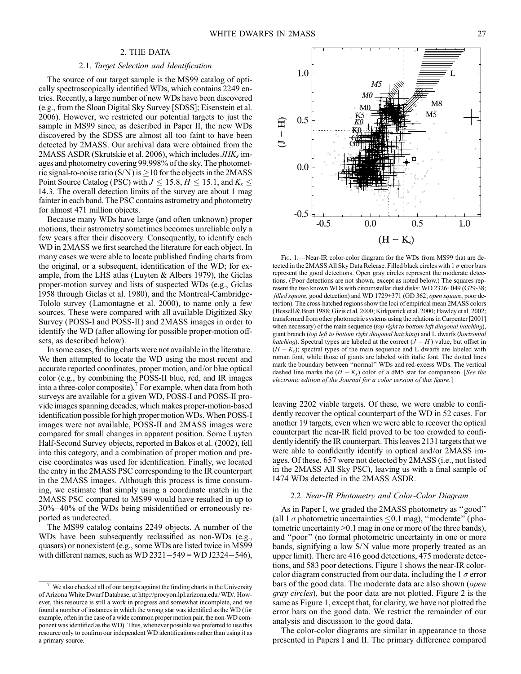# 2. THE DATA

#### 2.1. Target Selection and Identification

The source of our target sample is the MS99 catalog of optically spectroscopically identified WDs, which contains 2249 entries. Recently, a large number of new WDs have been discovered (e.g., from the Sloan Digital Sky Survey [SDSS]; Eisenstein et al. 2006). However, we restricted our potential targets to just the sample in MS99 since, as described in Paper II, the new WDs discovered by the SDSS are almost all too faint to have been detected by 2MASS. Our archival data were obtained from the 2MASS ASDR (Skrutskie et al. 2006), which includes  $JHK<sub>s</sub>$  images and photometry covering 99.998% of the sky. The photometric signal-to-noise ratio (S/N) is  $\geq$  10 for the objects in the 2MASS Point Source Catalog (PSC) with  $J \le 15.8$ ,  $H \le 15.1$ , and  $K_s \le$ 14:3. The overall detection limits of the survey are about 1 mag fainter in each band. The PSC contains astrometry and photometry for almost 471 million objects.

Because many WDs have large (and often unknown) proper motions, their astrometry sometimes becomes unreliable only a few years after their discovery. Consequently, to identify each WD in 2MASS we first searched the literature for each object. In many cases we were able to locate published finding charts from the original, or a subsequent, identification of the WD; for example, from the LHS atlas (Luyten & Albers 1979), the Giclas proper-motion survey and lists of suspected WDs (e.g., Giclas 1958 through Giclas et al. 1980), and the Montreal-Cambridge-Tololo survey (Lamontagne et al. 2000), to name only a few sources. These were compared with all available Digitized Sky Survey (POSS-I and POSS-II ) and 2MASS images in order to identify the WD (after allowing for possible proper-motion offsets, as described below).

In some cases, finding charts were not available in the literature. We then attempted to locate the WD using the most recent and accurate reported coordinates, proper motion, and/or blue optical color (e.g., by combining the POSS-II blue, red, and IR images into a three-color composite).<sup>7</sup> For example, when data from both surveys are available for a given WD, POSS-I and POSS-II provide images spanning decades, which makes proper-motion-based identification possible for high proper motion WDs. When POSS-I images were not available, POSS-II and 2MASS images were compared for small changes in apparent position. Some Luyten Half-Second Survey objects, reported in Bakos et al. (2002), fell into this category, and a combination of proper motion and precise coordinates was used for identification. Finally, we located the entry in the 2MASS PSC corresponding to the IR counterpart in the 2MASS images. Although this process is time consuming, we estimate that simply using a coordinate match in the 2MASS PSC compared to MS99 would have resulted in up to  $30\% - 40\%$  of the WDs being misidentified or erroneously reported as undetected.

The MS99 catalog contains 2249 objects. A number of the WDs have been subsequently reclassified as non-WDs (e.g., quasars) or nonexistent (e.g., some WDs are listed twice in MS99 with different names, such as WD  $2321-549 =$  WD J2324-546),



FIG. 1.-Near-IR color-color diagram for the WDs from MS99 that are detected in the 2MASS All Sky Data Release. Filled black circles with 1  $\sigma$  error bars represent the good detections. Open gray circles represent the moderate detections. (Poor detections are not shown, except as noted below.) The squares represent the two known WDs with circumstellar dust disks: WD 2326+049 (G29-38; filled square, good detection) and WD 1729+371 (GD 362; open square, poor detection). The cross-hatched regions show the loci of empirical mean 2MASS colors (Bessell & Brett 1988; Gizis et al. 2000; Kirkpatrick et al. 2000; Hawley et al. 2002; transformed from other photometric systems using the relations in Carpenter [2001] when necessary) of the main sequence (top right to bottom left diagonal hatching), giant branch (top left to bottom right diagonal hatching) and L dwarfs (horizontal hatching). Spectral types are labeled at the correct  $(J - H)$  value, but offset in  $(H - K<sub>s</sub>)$ ; spectral types of the main sequence and L dwarfs are labeled with roman font, while those of giants are labeled with italic font. The dotted lines mark the boundary between ''normal'' WDs and red-excess WDs. The vertical dashed line marks the  $(H - K_s)$  color of a dM5 star for comparison. [See the electronic edition of the Journal for a color version of this figure.]

leaving 2202 viable targets. Of these, we were unable to confidently recover the optical counterpart of the WD in 52 cases. For another 19 targets, even when we were able to recover the optical counterpart the near-IR field proved to be too crowded to confidently identify the IR counterpart. This leaves 2131 targets that we were able to confidently identify in optical and/or 2MASS images. Of these, 657 were not detected by 2MASS (i.e., not listed in the 2MASS All Sky PSC), leaving us with a final sample of 1474 WDs detected in the 2MASS ASDR.

#### 2.2. Near-IR Photometry and Color-Color Diagram

As in Paper I, we graded the 2MASS photometry as ''good'' (all 1  $\sigma$  photometric uncertainties < 0.1 mag), "moderate" (photometric uncertainty >0.1 mag in one or more of the three bands), and ''poor'' (no formal photometric uncertainty in one or more bands, signifying a low S/N value more properly treated as an upper limit). There are 416 good detections, 475 moderate detections, and 583 poor detections. Figure 1 shows the near-IR colorcolor diagram constructed from our data, including the 1  $\sigma$  error bars of the good data. The moderate data are also shown (open gray circles), but the poor data are not plotted. Figure 2 is the same as Figure 1, except that, for clarity, we have not plotted the error bars on the good data. We restrict the remainder of our analysis and discussion to the good data.

The color-color diagrams are similar in appearance to those presented in Papers I and II. The primary difference compared

 $\frac{7}{1}$  We also checked all of our targets against the finding charts in the University of Arizona White Dwarf Database, at http://procyon.lpl.arizona.edu/WD/. However, this resource is still a work in progress and somewhat incomplete, and we found a number of instances in which the wrong star was identified as the WD (for example, often in the case of a wide common proper motion pair, the non-WD component was identified as the WD). Thus, whenever possible we preferred to use this resource only to confirm our independent WD identifications rather than using it as a primary source.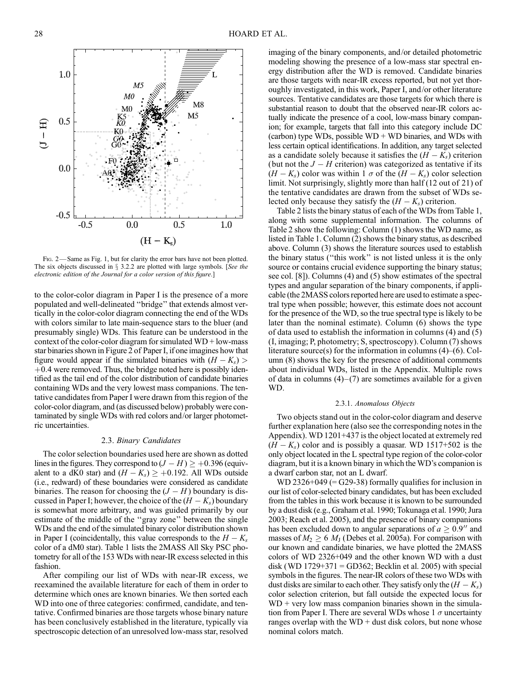Fig. 2— Same as Fig. 1, but for clarity the error bars have not been plotted. The six objects discussed in  $\S$  3.2.2 are plotted with large symbols. [See the electronic edition of the Journal for a color version of this figure.]

to the color-color diagram in Paper I is the presence of a more populated and well-delineated ''bridge'' that extends almost vertically in the color-color diagram connecting the end of the WDs with colors similar to late main-sequence stars to the bluer (and presumably single) WDs. This feature can be understood in the context of the color-color diagram for simulated  $WD + low-mass$ star binaries shown in Figure 2 of Paper I, if one imagines how that figure would appear if the simulated binaries with  $(H - K<sub>s</sub>)$  $+0.4$  were removed. Thus, the bridge noted here is possibly identified as the tail end of the color distribution of candidate binaries containing WDs and the very lowest mass companions. The tentative candidates from Paper I were drawn from this region of the color-color diagram, and (as discussed below) probably were contaminated by single WDs with red colors and/or larger photometric uncertainties.

#### 2.3. Binary Candidates

The color selection boundaries used here are shown as dotted lines in the figures. They correspond to  $(J - H) \geq +0.396$  (equivalent to a dK0 star) and  $(H - K_s) \ge +0.192$ . All WDs outside (i.e., redward) of these boundaries were considered as candidate binaries. The reason for choosing the  $(J - H)$  boundary is discussed in Paper I; however, the choice of the  $(H - K_s)$  boundary is somewhat more arbitrary, and was guided primarily by our estimate of the middle of the ''gray zone'' between the single WDs and the end of the simulated binary color distribution shown in Paper I (coincidentally, this value corresponds to the  $H - K<sub>s</sub>$ color of a dM0 star). Table 1 lists the 2MASS All Sky PSC photometry for all of the 153 WDs with near-IR excess selected in this fashion.

After compiling our list of WDs with near-IR excess, we reexamined the available literature for each of them in order to determine which ones are known binaries. We then sorted each WD into one of three categories: confirmed, candidate, and tentative. Confirmed binaries are those targets whose binary nature has been conclusively established in the literature, typically via spectroscopic detection of an unresolved low-mass star, resolved imaging of the binary components, and/or detailed photometric modeling showing the presence of a low-mass star spectral energy distribution after the WD is removed. Candidate binaries are those targets with near-IR excess reported, but not yet thoroughly investigated, in this work, Paper I, and/or other literature sources. Tentative candidates are those targets for which there is substantial reason to doubt that the observed near-IR colors actually indicate the presence of a cool, low-mass binary companion; for example, targets that fall into this category include DC (carbon) type WDs, possible  $WD + WD$  binaries, and WDs with less certain optical identifications. In addition, any target selected as a candidate solely because it satisfies the  $(H - K<sub>s</sub>)$  criterion (but not the  $J - H$  criterion) was categorized as tentative if its  $(H - K<sub>s</sub>)$  color was within 1  $\sigma$  of the  $(H - K<sub>s</sub>)$  color selection limit. Not surprisingly, slightly more than half (12 out of 21) of the tentative candidates are drawn from the subset of WDs selected only because they satisfy the  $(H - K<sub>s</sub>)$  criterion.

Table 2 lists the binary status of each of the WDs from Table 1, along with some supplemental information. The columns of Table 2 show the following: Column (1) shows the WD name, as listed in Table 1. Column (2) shows the binary status, as described above. Column (3) shows the literature sources used to establish the binary status (''this work'' is not listed unless it is the only source or contains crucial evidence supporting the binary status; see col. [8]). Columns (4) and (5) show estimates of the spectral types and angular separation of the binary components, if applicable (the 2MASS colors reported here are used to estimate a spectral type when possible; however, this estimate does not account for the presence of the WD, so the true spectral type is likely to be later than the nominal estimate). Column (6) shows the type of data used to establish the information in columns (4) and (5) (I, imaging; P, photometry; S, spectroscopy). Column (7) shows literature source(s) for the information in columns  $(4)$ –(6). Column (8) shows the key for the presence of additional comments about individual WDs, listed in the Appendix. Multiple rows of data in columns  $(4)-(7)$  are sometimes available for a given WD.

#### 2.3.1. Anomalous Objects

Two objects stand out in the color-color diagram and deserve further explanation here (also see the corresponding notes in the Appendix). WD 1201+437 is the object located at extremely red  $(H - K<sub>s</sub>)$  color and is possibly a quasar. WD 1517+502 is the only object located in the L spectral type region of the color-color diagram, but it is a known binary in which the WD's companion is a dwarf carbon star, not an L dwarf.

WD 2326+049 ( $=$  G29-38) formally qualifies for inclusion in our list of color-selected binary candidates, but has been excluded from the tables in this work because it is known to be surrounded by a dust disk (e.g., Graham et al. 1990; Tokunaga et al. 1990; Jura 2003; Reach et al. 2005), and the presence of binary companions has been excluded down to angular separations of  $a \geq 0.9$ <sup>"</sup> and masses of  $M_2 \geq 6~M_{\rm J}$  (Debes et al. 2005a). For comparison with our known and candidate binaries, we have plotted the 2MASS colors of WD 2326+049 and the other known WD with a dust disk (WD 1729+371 = GD362; Becklin et al. 2005) with special symbols in the figures. The near-IR colors of these two WDs with dust disks are similar to each other. They satisfy only the  $(H - K<sub>s</sub>)$ color selection criterion, but fall outside the expected locus for  $WD + very$  low mass companion binaries shown in the simulation from Paper I. There are several WDs whose  $1 \sigma$  uncertainty ranges overlap with the  $WD + dust$  disk colors, but none whose nominal colors match.

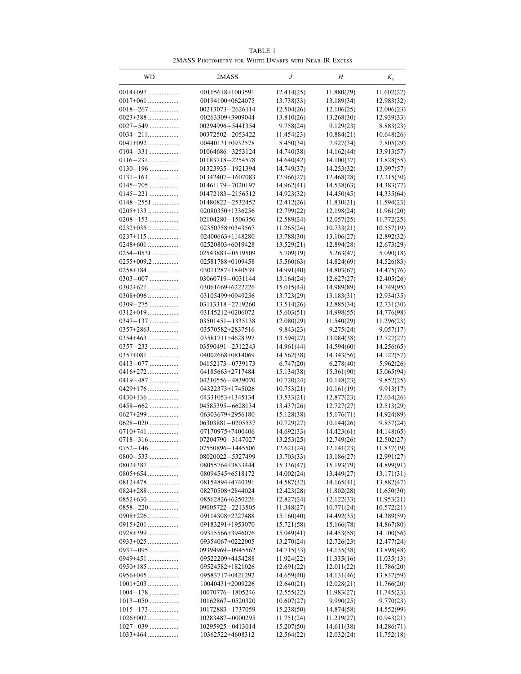TABLE 1 2MASS Photometry for White Dwarfs with Near-IR Excess

| WD                        | 2MASS                                | J                        | Н                        | $K_{s}$                 |
|---------------------------|--------------------------------------|--------------------------|--------------------------|-------------------------|
| $0014+097$                | 00165618+1003591                     | 12.414(25)               | 11.880(29)               | 11.602(22)              |
| $0017+061$                | 00194100+0624075                     | 13.738(33)               | 13.189(34)               | 12.983(32)              |
| $0018 - 267$              | 00213073-2626114                     | 12.504(26)               | 12.106(25)               | 12.006(23)              |
|                           | 00263309+3909044                     | 13.810(26)               | 13.268(30)               | 12.939(33)              |
| $0027 - 549$              | 00294996-5441354                     | 9.758(24)                | 9.129(23)                | 8.883(23)               |
|                           | 00372502-2053422                     | 11.454(23)               | 10.884(21)               | 10.648(26)              |
|                           | 00440131+0932578                     | 8.450(34)                | 7.927(34)                | 7.805(29)               |
| $0104 - 331$              | 01064686-3253124                     | 14.740(38)               | 14.162(44)               | 13.913(57)              |
|                           | 01183718-2254578                     | 14.640(42)               | 14.100(37)               | 13.828(55)              |
| $0130 - 196$              | 01323935-1921394                     | 14.749(37)               | 14.253(32)               | 13.997(57)              |
|                           | 01342407-1607083                     | 12.966(27)               | 12.468(28)               | 12.215(30)              |
| $0145 - 705$              | 01461179-7020197                     | 14.962(41)               | 14.538(63)               | 14.383(77)              |
| $0145 - 221$              | 01472183-2156512                     | 14.923(32)               | 14.450(45)               | 14.335(64)              |
| $0148 - 255$ J            | 01480822-2532452                     | 12.412(26)               | 11.830(21)               | 11.594(23)              |
| $0205+133$                | 02080350+1336256                     | 12.799(22)               | 12.198(24)               | 11.961(20)              |
| $0208 - 153$              | 02104280-1506356                     | 12.589(24)               | 12.057(25)               | 11.772(25)              |
| $0232+035$                | 02350758+0343567                     | 11.265(24)               | 10.733(21)               | 10.557(19)              |
| $0237+115$                | 02400663+1148280                     | 13.788(30)               | 13.106(27)               | 12.892(32)              |
| 0248+601                  | 02520803+6019428                     | 13.529(21)               | 12.894(28)               | 12.673(29)              |
| $0254 - 053$ J            | 02543883-0519509                     | 5.709(19)                | 5.263(47)                | 5.090(18)               |
| $0255+009.2$              | 02581788+0109458                     | 15.560(63)               | 14.824(69)               | 14.526(83)              |
| $0258+184$                | 03011287+1840539                     | 14.991(40)               | 14.803(67)               | 14.475(76)              |
| $0303 - 007$              | 03060719-0031144                     | 13.164(24)               | 12.627(27)               | 12.405(26)              |
| $0302+621$                | 03061669+6222226                     | 15.015(44)               | 14.989(89)               | 14.749(95)              |
| $0308+096$                | 03105499+0949256                     | 13.723(29)               | 13.183(31)               | 12.934(35)              |
| $0309 - 275$              | 03113318-2719260                     | 13.514(26)               | 12.885(34)               | 12.731(30)              |
| $0312+019$                | 03145212+0206072                     | 15.603(51)               | 14.998(55)               | 14.776(98)              |
| $0347 - 137$<br>0357+286J | 03501451-1335138                     | 12.080(29)               | 11.540(29)               | 11.296(23)              |
| $0354+463$                | 03570582+2837516<br>03581711+4628397 | 9.843(23)<br>13.594(27)  | 9.275(24)<br>13.084(38)  | 9.057(17)<br>12.727(27) |
| $0357 - 233$              | 03590491-2312243                     | 14.961(44)               | 14.594(60)               | 14.256(65)              |
| $0357+081$                | 04002668+0814069                     | 14.562(38)               | 14.343(56)               | 14.122(57)              |
| $0413 - 077$              | 04152173-0739173                     | 6.747(20)                | 6.278(40)                | 5.962(26)               |
| 0416+272                  | 04185663+2717484                     | 15.134(38)               | 15.361(90)               | 15.065(94)              |
| 0419-487                  | 04210556-4839070                     | 10.720(24)               | 10.148(23)               | 9.852(25)               |
| 0429+176                  | 04322373+1745026                     | 10.753(21)               | 10.161(19)               | 9.913(17)               |
| $0430+136$                | 04331053+1345134                     | 13.533(21)               | 12.877(23)               | 12.634(26)              |
| $0458 - 662$              | 04585395-6628134                     | 13.437(26)               | 12.727(27)               | 12.513(29)              |
| 0627+299                  | 06303679+2956180                     | 15.128(38)               | 15.176(71)               | 14.924(89)              |
| $0628 - 020$              | 06303881-0205537                     | 10.729(27)               | 10.144(26)               | 9.857(24)               |
| $0710+741$                | 07170975+7400406                     | 14.692(33)               | 14.423(61)               | 14.148(65)              |
| $0718 - 316$              | 07204790-3147027                     | 13.253(25)               | 12.749(26)               | 12.502(27)              |
| $0752 - 146$              | 07550896-1445506                     | 12.621(24)               | 12.141(23)               | 11.837(19)              |
| $0800 - 533$              | 08020022-5327499                     | 13.703(33)               | 13.186(27)               | 12.991(27)              |
| $0802+387$                | 08055764+3833444                     | 15.336(47)               | 15.193(79)               | 14.899(91)              |
| $0805+654$                | 08094545+6518172                     | 14.002(24)               | 13.449(27)               | 13.171(31)              |
| $0812+478$                | 08154894+4740391                     | 14.587(32)               | 14.165(41)               | 13.882(47)              |
| $0824+288$                | 08270508+2844024                     | 12.423(28)               | 11.802(28)               | 11.650(30)              |
| $0852+630$                | 08562826+6250226                     | 12.827(24)               | 12.122(33)               | 11.953(21)              |
| $0858 - 220$              | 09005722-2213505                     | 11.348(27)               | 10.771(24)               | 10.572(21)              |
| $0908+226$                | 09114308+2227488                     | 15.160(40)               | 14.492(35)               | 14.389(59)              |
| $0915+201$                | 09183291+1953070                     | 15.721(58)               | 15.166(78)               | 14.867(80)              |
| $0928+399$                | 09315566+3946076                     | 15.049(41)               | 14.453(58)               | 14.100(56)              |
| $0933+025$                | 09354067+0222005                     | 13.270(24)               | 12.726(23)               | 12.477(24)              |
| $0937 - 095$              | 09394969-0945562                     | 14.715(33)               | 14.135(38)               | 13.898(48)              |
| 0949+451                  | 09522209+4454288                     | 11.924(22)               | 11.335(16)               | 11.035(13)              |
| $0950+185$                | 09524582+1821026                     | 12.691(22)               | 12.011(22)               | 11.786(20)              |
| $0956+045$<br>$1001+203$  | 09583717+0421292                     | 14.659(40)<br>12.640(21) | 14.131(46)               | 13.837(59)              |
| $1004 - 178$              | 10040431+2009226<br>10070776-1805246 | 12.555(22)               | 12.028(21)<br>11.983(27) | 11.766(20)              |
| $1013 - 050$              | 10162867-0520320                     | 10.607(27)               | 9.990(25)                | 11.745(23)<br>9.770(23) |
| $1015 - 173$              | 10172883-1737059                     | 15.238(50)               | 14.874(58)               | 14.552(99)              |
| $1026+002$                | 10283487-0000295                     | 11.751(24)               | 11.219(27)               | 10.943(21)              |
| $1027 - 039$              | 10295925-0413014                     | 15.207(50)               | 14.611(38)               | 14.286(71)              |
| $1033+464$                | 10362522+4608312                     | 12.564(22)               | 12.032(24)               | 11.752(18)              |
|                           |                                      |                          |                          |                         |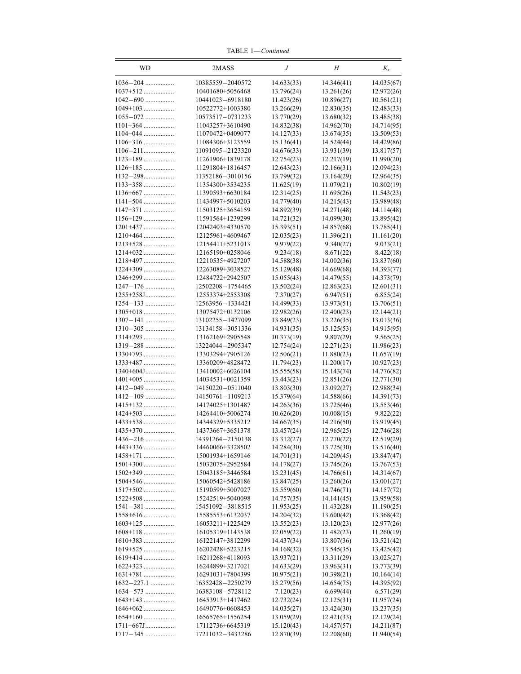TABLE 1—Continued

| WD                        | 2MASS                                | J                        | Н                        | $K_{s}$                  |
|---------------------------|--------------------------------------|--------------------------|--------------------------|--------------------------|
| $1036 - 204$              | 10385559-2040572                     | 14.633(33)               | 14.346(41)               | 14.035(67)               |
| $1037 + 512$              | 10401680+5056468                     | 13.796(24)               | 13.261(26)               | 12.972(26)               |
| $1042 - 690$              | 10441023-6918180                     | 11.423(26)               | 10.896(27)               | 10.561(21)               |
| $1049+103$                | 10522772+1003380                     | 13.266(29)               | 12.830(35)               | 12.483(33)               |
| $1055 - 072$              | 10573517-0731233                     | 13.770(29)               | 13.680(32)               | 13.485(38)               |
| $1101+364$                | 11043257+3610490                     | 14.832(38)               | 14.962(70)               | 14.714(95)               |
| $1104+044$                | 11070472+0409077                     | 14.127(33)               | 13.674(35)               | 13.509(53)               |
| $1106+316$                | 11084306+3123559                     | 15.136(41)               | 14.524(44)               | 14.429(86)               |
| $1106 - 211$              | 11091095-2123320                     | 14.676(33)               | 13.931(39)               | 13.817(57)               |
| $1123+189$                | 11261906+1839178                     | 12.754(23)               | 12.217(19)               | 11.990(20)               |
| $1126+185$                | 11291804+1816457<br>11352186-3010156 | 12.643(23)<br>13.799(32) | 12.166(31)<br>13.164(29) | 12.094(23)<br>12.964(35) |
| $1133+358$                | 11354300+3534235                     | 11.625(19)               | 11.079(21)               | 10.802(19)               |
| 1136+667                  | 11390593+6630184                     | 12.314(25)               | 11.695(26)               | 11.543(23)               |
| $1141+504$                | 11434997+5010203                     | 14.779(40)               | 14.215(43)               | 13.989(48)               |
|                           | 11503125+3654159                     | 14.892(39)               | 14.271(48)               | 14.114(48)               |
| $1156+129$                | 11591564+1239299                     | 14.721(32)               | 14.099(30)               | 13.895(42)               |
| $1201+437$                | 12042403+4330570                     | 15.393(51)               | 14.857(68)               | 13.785(41)               |
| $1210+464$                | 12125961+4609467                     | 12.035(23)               | 11.396(21)               | 11.161(20)               |
| $1213+528$                | 12154411+5231013                     | 9.979(22)                | 9.340(27)                | 9.033(21)                |
| $1214+032$                | 12165190+0258046                     | 9.234(18)                | 8.671(22)                | 8.422(18)                |
| $1218+497$                | 12210535+4927207                     | 14.588(38)               | 14.002(36)               | 13.837(60)               |
|                           | 12263089+3038527                     | 15.129(48)               | 14.669(68)               | 14.393(77)               |
| 1246+299                  | 12484722+2942507                     | 15.055(43)               | 14.479(55)               | 14.373(79)               |
| $1247 - 176$              | 12502208-1754465                     | 13.502(24)               | 12.863(23)               | 12.601(31)               |
| 1255+258J<br>$1254 - 133$ | 12553374+2553308<br>12563956-1334421 | 7.370(27)<br>14.499(33)  | 6.947(51)<br>13.973(51)  | 6.855(24)<br>13.706(51)  |
| $1305+018$                | 13075472+0132106                     | 12.982(26)               | 12.400(23)               | 12.144(21)               |
| $1307 - 141$              | 13102255-1427099                     | 13.849(23)               | 13.226(35)               | 13.013(36)               |
| $1310 - 305$              | 13134158-3051336                     | 14.931(35)               | 15.125(53)               | 14.915(95)               |
| $1314+293$                | 13162169+2905548                     | 10.373(19)               | 9.807(29)                | 9.565(25)                |
| $1319 - 288$              | 13224044-2905347                     | 12.754(24)               | 12.271(23)               | 11.986(23)               |
| $1330+793$                | 13303294+7905126                     | 12.506(21)               | 11.880(23)               | 11.657(19)               |
| 1333+487                  | 13360209+4828472                     | 11.794(23)               | 11.200(17)               | 10.927(23)               |
| $1340+604$ J              | 13410002+6026104                     | 15.555(58)               | 15.143(74)               | 14.776(82)               |
| $1401+005$                | 14034531+0021359                     | 13.443(23)               | 12.851(26)               | 12.771(30)               |
| 1412-049                  | 14150220-0511040                     | 13.803(30)               | 13.092(27)               | 12.988(34)               |
| $1412 - 109$              | 14150761-1109213                     | 15.379(64)               | 14.588(66)               | 14.391(73)               |
| 1415+132<br>1424+503      | 14174025+1301487<br>14264410+5006274 | 14.263(36)<br>10.626(20) | 13.725(46)<br>10.008(15) | 13.553(46)<br>9.822(22)  |
| 1433+538                  | 14344329+5335212                     | 14.667(35)               | 14.216(50)               | 13.919(45)               |
|                           | 14373667+3651378                     | 13.457(24)               | 12.965(25)               | 12.746(28)               |
| $1436 - 216$              | 14391264-2150138                     | 13.312(27)               | 12.770(22)               | 12.519(29)               |
| $1443+336$                | 14460066+3328502                     | 14.284(30)               | 13.725(30)               | 13.516(40)               |
| 1458+171                  | 15001934+1659146                     | 14.701(31)               | 14.209(45)               | 13.847(47)               |
| $1501+300$                | 15032075+2952584                     | 14.178(27)               | 13.745(26)               | 13.767(53)               |
| $1502+349$                | 15043185+3446584                     | 15.231(45)               | 14.766(61)               | 14.314(67)               |
| $1504 + 546$              | 15060542+5428186                     | 13.847(25)               | 13.260(26)               | 13.001(27)               |
| $1517+502$                | 15190599+5007027                     | 15.559(60)               | 14.746(71)               | 14.157(72)               |
| $1522+508$                | 15242519+5040098                     | 14.757(35)               | 14.141(45)               | 13.959(58)               |
| $1541 - 381$              | 15451092-3818515                     | 11.953(25)               | 11.432(28)               | 11.190(25)               |
|                           | 15585553+6132037                     | 14.204(32)               | 13.600(42)               | 13.368(42)               |
| $1603+125$<br>$1608+118$  | 16053211+1225429                     | 13.552(23)               | 13.120(23)               | 12.977(26)               |
| $1610+383$                | 16105319+1143538<br>16122147+3812299 | 12.059(22)<br>14.437(34) | 11.482(23)<br>13.807(36) | 11.260(19)<br>13.521(42) |
| $1619+525$                | 16202428+5223215                     | 14.168(32)               | 13.545(35)               | 13.425(42)               |
| $1619+414$                | 16211268+4118093                     | 13.937(21)               | 13.311(29)               | 13.025(27)               |
| $1622+323$                | 16244899+3217021                     | 14.633(29)               | 13.963(31)               | 13.773(39)               |
| $1631+781$                | 16291031+7804399                     | 10.975(21)               | 10.398(21)               | 10.164(14)               |
| $1632 - 227.1$            | 16352428-2250279                     | 15.279(56)               | 14.654(75)               | 14.395(92)               |
| $1634 - 573$              | 16383108-5728112                     | 7.120(23)                | 6.699(44)                | 6.571(29)                |
| $1643+143$                | 16453913+1417462                     | 12.732(24)               | 12.125(31)               | 11.957(24)               |
| $1646+062$                | 16490776+0608453                     | 14.035(27)               | 13.424(30)               | 13.237(35)               |
| $1654+160$                | 16565765+1556254                     | 13.059(29)               | 12.421(33)               | 12.129(24)               |
| $1711+667$ J              | 17112736+6645319                     | 15.120(43)               | 14.457(57)               | 14.211(87)               |
| $1717 - 345$              | 17211032-3433286                     | 12.870(39)               | 12.208(60)               | 11.940(54)               |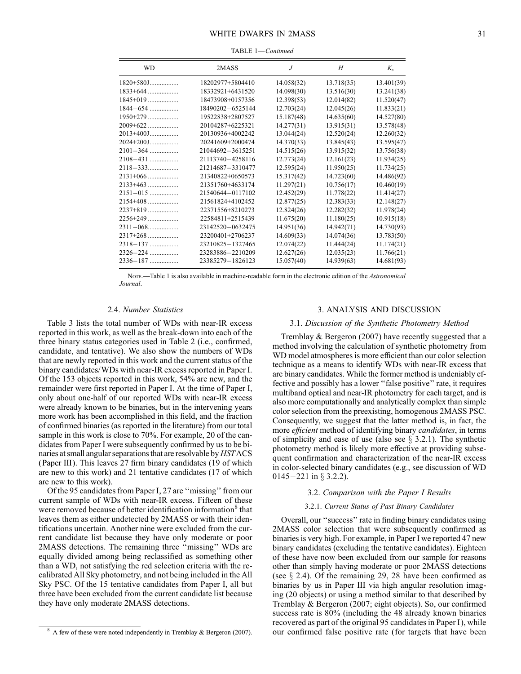| <b>WD</b>    | 2MASS            | J          | H          | $K_{s}$    |
|--------------|------------------|------------|------------|------------|
| $1820+580$ J | 18202977+5804410 | 14.058(32) | 13.718(35) | 13.401(39) |
| $1833+644$   | 18332921+6431520 | 14.098(30) | 13.516(30) | 13.241(38) |
| $1845+019$   | 18473908+0157356 | 12.398(53) | 12.014(82) | 11.520(47) |
| $1844 - 654$ | 18490202-6525144 | 12.703(24) | 12.045(26) | 11.833(21) |
| 1950+279     | 19522838+2807527 | 15.187(48) | 14.635(60) | 14.527(80) |
| $2009+622$   | 20104287+6225321 | 14.277(31) | 13.915(31) | 13.578(48) |
| $2013+400J$  | 20130936+4002242 | 13.044(24) | 12.520(24) | 12.260(32) |
| $2024+200$ J | 20241609+2000474 | 14.370(33) | 13.845(43) | 13.595(47) |
| $2101 - 364$ | 21044692-3615251 | 14.515(26) | 13.915(32) | 13.756(38) |
| 2108-431     | 21113740-4258116 | 12.773(24) | 12.161(23) | 11.934(25) |
| $2118 - 333$ | 21214687-3310477 | 12.595(24) | 11.950(25) | 11.734(25) |
| $2131+066$   | 21340822+0650573 | 15.317(42) | 14.723(60) | 14.486(92) |
| $2133+463$   | 21351760+4633174 | 11.297(21) | 10.756(17) | 10.460(19) |
| $2151 - 015$ | 21540644-0117102 | 12.452(29) | 11.778(22) | 11.414(27) |
| $2154+408$   | 21561824+4102452 | 12.877(25) | 12.383(33) | 12.148(27) |
| 2237+819     | 22371556+8210273 | 12.824(26) | 12.282(32) | 11.978(24) |
| $2256+249$   | 22584811+2515439 | 11.675(20) | 11.180(25) | 10.915(18) |
| $2311 - 068$ | 23142520-0632475 | 14.951(36) | 14.942(71) | 14.730(93) |
| $2317+268$   | 23200401+2706237 | 14.609(33) | 14.074(36) | 13.783(50) |
| $2318 - 137$ | 23210825-1327465 | 12.074(22) | 11.444(24) | 11.174(21) |
| $2326 - 224$ | 23283886-2210209 | 12.627(26) | 12.035(23) | 11.766(21) |
| 2336–187     | 23385279-1826123 | 15.057(40) | 14.939(63) | 14.681(93) |
|              |                  |            |            |            |

Nore.—Table 1 is also available in machine-readable form in the electronic edition of the Astronomical Journal.

# 2.4. Number Statistics

Table 3 lists the total number of WDs with near-IR excess reported in this work, as well as the break-down into each of the three binary status categories used in Table 2 (i.e., confirmed, candidate, and tentative). We also show the numbers of WDs that are newly reported in this work and the current status of the binary candidates/WDs with near-IR excess reported in Paper I. Of the 153 objects reported in this work, 54% are new, and the remainder were first reported in Paper I. At the time of Paper I, only about one-half of our reported WDs with near-IR excess were already known to be binaries, but in the intervening years more work has been accomplished in this field, and the fraction of confirmed binaries (as reported in the literature) from our total sample in this work is close to 70%. For example, 20 of the candidates from Paper I were subsequently confirmed by us to be binaries at small angular separations that are resolvable by HSTACS (Paper III). This leaves 27 firm binary candidates (19 of which are new to this work) and 21 tentative candidates (17 of which are new to this work).

Of the 95 candidates from Paper I, 27 are ''missing'' from our current sample of WDs with near-IR excess. Fifteen of these were removed because of better identification information<sup>8</sup> that leaves them as either undetected by 2MASS or with their identifications uncertain. Another nine were excluded from the current candidate list because they have only moderate or poor 2MASS detections. The remaining three ''missing'' WDs are equally divided among being reclassified as something other than a WD, not satisfying the red selection criteria with the recalibrated All Sky photometry, and not being included in the All Sky PSC. Of the 15 tentative candidates from Paper I, all but three have been excluded from the current candidate list because they have only moderate 2MASS detections.

## 3. ANALYSIS AND DISCUSSION

### 3.1. Discussion of the Synthetic Photometry Method

Tremblay & Bergeron (2007) have recently suggested that a method involving the calculation of synthetic photometry from WD model atmospheres is more efficient than our color selection technique as a means to identify WDs with near-IR excess that are binary candidates. While the former method is undeniably effective and possibly has a lower ''false positive'' rate, it requires multiband optical and near-IR photometry for each target, and is also more computationally and analytically complex than simple color selection from the preexisting, homogenous 2MASS PSC. Consequently, we suggest that the latter method is, in fact, the more efficient method of identifying binary candidates, in terms of simplicity and ease of use (also see  $\S$  3.2.1). The synthetic photometry method is likely more effective at providing subsequent confirmation and characterization of the near-IR excess in color-selected binary candidates (e.g., see discussion of WD  $0145 - 221$  in § 3.2.2).

# 3.2. Comparison with the Paper I Results

#### 3.2.1. Current Status of Past Binary Candidates

Overall, our ''success'' rate in finding binary candidates using 2MASS color selection that were subsequently confirmed as binaries is very high. For example, in Paper I we reported 47 new binary candidates (excluding the tentative candidates). Eighteen of these have now been excluded from our sample for reasons other than simply having moderate or poor 2MASS detections (see  $\S$  2.4). Of the remaining 29, 28 have been confirmed as binaries by us in Paper III via high angular resolution imaging (20 objects) or using a method similar to that described by Tremblay & Bergeron (2007; eight objects). So, our confirmed success rate is 80% (including the 48 already known binaries recovered as part of the original 95 candidates in Paper I), while  $8$  A few of these were noted independently in Tremblay & Bergeron (2007). Our confirmed false positive rate (for targets that have been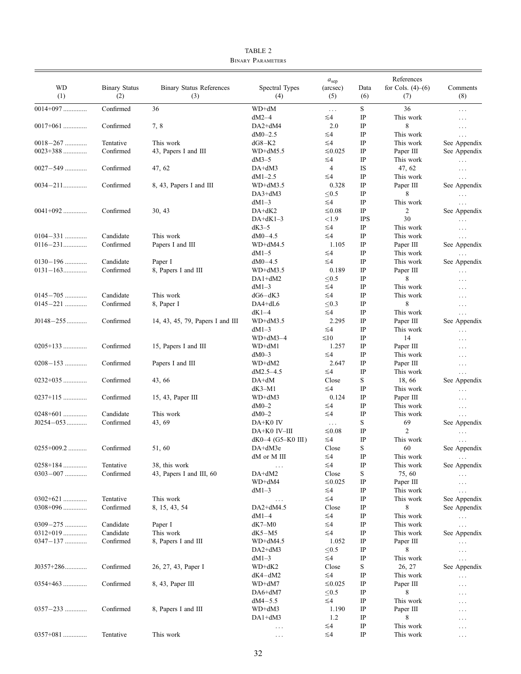| <b>WD</b><br>(1)             | <b>Binary Status</b><br>(2) | <b>Binary Status References</b><br>(3) | Spectral Types<br>(4)               | $a_{\rm sep}$<br>(arcsec)<br>(5) | Data<br>(6)                | References<br>for Cols. $(4)–(6)$<br>(7) | Comments<br>(8)          |
|------------------------------|-----------------------------|----------------------------------------|-------------------------------------|----------------------------------|----------------------------|------------------------------------------|--------------------------|
| $0014+097$                   | Confirmed                   | 36                                     | WD+dM                               | $\cdots$                         | $\mathbf S$                | 36                                       | $\ldots$                 |
|                              |                             |                                        | $dM2-4$                             | ≲4                               | IP                         | This work                                | $\ldots$                 |
| $0017+061$                   | Confirmed                   | 7, 8                                   | DA2+dM4                             | 2.0                              | IP                         | 8                                        | $\cdots$                 |
|                              |                             |                                        | $dM0 - 2.5$                         | ≤4                               | $_{\rm IP}$                | This work                                | $\ldots$                 |
| $0018 - 267$                 | Tentative                   | This work                              | $dG8-K2$                            | ≤4                               | $_{\rm IP}$                | This work                                | See Appendix             |
| $0023 + 388$                 | Confirmed                   | 43, Papers I and III                   | $WD+dM5.5$                          | $≤0.025$                         | IP                         | Paper III                                | See Appendix             |
|                              |                             |                                        | $dM3-5$                             | ≤4                               | $_{\rm IP}$                | This work                                | $\ldots$                 |
| $0027 - 549$                 | Confirmed                   | 47, 62                                 | $DA+ dM3$                           | $\overline{4}$                   | IS                         | 47, 62                                   | $\ldots$                 |
| $0034 - 211$                 | Confirmed                   | 8, 43, Papers I and III                | $dM1 - 2.5$<br>$WD+dM3.5$           | ≲4                               | $_{\rm IP}$<br>$_{\rm IP}$ | This work                                | $\ldots$                 |
|                              |                             |                                        | $DA3+dM3$                           | 0.328<br>< 0.5                   | $_{\rm IP}$                | Paper III<br>8                           | See Appendix             |
|                              |                             |                                        | $dM1-3$                             | $\leq 4$                         | $_{\rm IP}$                | This work                                | $\ldots$<br>$\cdots$     |
| $0041+092$                   | Confirmed                   | 30, 43                                 | $DA+dK2$                            | ≤0.08                            | $_{\rm IP}$                | 2                                        | See Appendix             |
|                              |                             |                                        | $DA+dK1-3$                          | ${<}1.9$                         | <b>IPS</b>                 | 30                                       | $\ldots$                 |
|                              |                             |                                        | $dK3-5$                             | $\leq 4$                         | $_{\rm IP}$                | This work                                | $\ldots$                 |
| $0104 - 331$                 | Candidate                   | This work                              | $dM0-4.5$                           | $\leq 4$                         | $_{\rm IP}$                | This work                                | $\ldots$                 |
| $0116 - 231$                 | Confirmed                   | Papers I and III                       | $WD+dM4.5$                          | 1.105                            | $_{\rm IP}$                | Paper III                                | See Appendix             |
|                              |                             |                                        | $dM1-5$                             | ≲4                               | $_{\rm IP}$                | This work                                | $\ldots$                 |
| $0130 - 196$                 | Candidate                   | Paper I                                | $dM0-4.5$                           | $\leq 4$                         | IP                         | This work                                | See Appendix             |
| $0131 - 163$                 | Confirmed                   | 8, Papers I and III                    | $WD+dM3.5$                          | 0.189                            | $_{\rm IP}$                | Paper III                                | $\ldots$                 |
|                              |                             |                                        | $DA1+dM2$                           | < 0.5                            | $_{\rm IP}$                | 8                                        | $\cdots$                 |
|                              |                             |                                        | $dM1-3$                             | ≲4                               | IP                         | This work                                | $\cdots$                 |
| $0145 - 705$<br>$0145 - 221$ | Candidate                   | This work                              | $dG6-dK3$                           | $\leq 4$                         | $_{\rm IP}$                | This work                                | $\cdots$                 |
|                              | Confirmed                   | 8, Paper I                             | $DA4+dL6$<br>dK1–4                  | < 0.3<br>$\leq 4$                | IP<br>$_{\rm IP}$          | 8<br>This work                           | $\ldots$                 |
| $J0148 - 255$                | Confirmed                   | 14, 43, 45, 79, Papers I and III       | $WD+dM3.5$                          | 2.295                            | $_{\rm IP}$                | Paper III                                | $\ldots$<br>See Appendix |
|                              |                             |                                        | $dM1-3$                             | $\leq 4$                         | IP                         | This work                                | $\ldots$                 |
|                              |                             |                                        | $WD+dM3-4$                          | $\leq 10$                        | $_{\rm IP}$                | 14                                       | $\cdots$                 |
| $0205+133$                   | Confirmed                   | 15, Papers I and III                   | WD+dM1                              | 1.257                            | $_{\rm IP}$                | Paper III                                | $\cdots$                 |
|                              |                             |                                        | $dM0-3$                             | $\leq 4$                         | IP                         | This work                                | $\cdots$                 |
| $0208 - 153$                 | Confirmed                   | Papers I and III                       | WD+dM2                              | 2.647                            | IP                         | Paper III                                | $\ldots$                 |
|                              |                             |                                        | $dM2.5-4.5$                         | $\leq 4$                         | IP                         | This work                                | $\ldots$                 |
| $0232+035$                   | Confirmed                   | 43, 66                                 | $DA+dM$                             | Close                            | S                          | 18,66                                    | See Appendix             |
|                              |                             |                                        | $dK3-M1$                            | $\leq 4$                         | $\rm IP$                   | This work                                | $\ldots$                 |
| $0237+115$                   | Confirmed                   | 15, 43, Paper III                      | WD+dM3                              | 0.124                            | IP                         | Paper III                                | $\cdots$                 |
|                              |                             |                                        | $dM0-2$                             | ≲4                               | $_{\rm IP}$                | This work                                | $\ldots$                 |
| $0248 + 601$                 | Candidate                   | This work                              | $dM0-2$                             | ≲4                               | $_{\rm IP}$                | This work                                | $\ldots$                 |
| $J0254 - 053$                | Confirmed                   | 43, 69                                 | DA+K0 IV                            | $\ldots$<br>≤0.08                | S<br>$\rm IP$              | 69<br>$\overline{c}$                     | See Appendix             |
|                              |                             |                                        | DA+K0 IV-III<br>$dK0-4$ (G5-K0 III) | $\leq 4$                         | $_{\rm IP}$                | This work                                | $\ddots$                 |
| $0255+009.2$                 | Confirmed                   | 51, 60                                 | DA+dM3e                             | Close                            | S                          | 60                                       | $\ldots$<br>See Appendix |
|                              |                             |                                        | dM or M III                         | $\leq 4$                         | $\rm IP$                   | This work                                | $\mathbf{r}$<br>$\cdots$ |
| $0258 + 184$                 | Tentative                   | 38, this work                          | $\cdots$                            | $\leq 4$                         | $_{\rm IP}$                | This work                                | See Appendix             |
| $0303 - 007$                 | Confirmed                   | 43, Papers I and III, 60               | DA+dM2                              | Close                            | S                          | 75,60                                    | $\cdots$                 |
|                              |                             |                                        | WD+dM4                              | $≤0.025$                         | $_{\rm IP}$                | Paper III                                | $\ldots$                 |
|                              |                             |                                        | $dM1-3$                             | ≲4                               | IP                         | This work                                | $\ldots$                 |
| $0302+621$                   | Tentative                   | This work                              | $\cdots$                            | ≲4                               | IP                         | This work                                | See Appendix             |
| $0308+096$                   | Confirmed                   | 8, 15, 43, 54                          | DA2+dM4.5                           | Close                            | $\rm IP$                   | 8                                        | See Appendix             |
|                              |                             |                                        | $dM1-4$                             | ≤4                               | IP                         | This work                                | $\ldots$                 |
| $0309 - 275$                 | Candidate                   | Paper I                                | $dK7-M0$                            | ≲4                               | IP                         | This work                                | $\ldots$                 |
| $0312+019$                   | Candidate                   | This work                              | dK5-M5                              | ≲4                               | $\rm IP$                   | This work                                | See Appendix             |
| $0347 - 137$                 | Confirmed                   | 8, Papers I and III                    | $WD+dM4.5$                          | 1.052                            | IP                         | Paper III                                | $\cdots$                 |
|                              |                             |                                        | $DA2+dM3$<br>$dM1-3$                | ${\leq}0.5$<br>≲4                | IP<br>IP                   | 8<br>This work                           | $\ldots$                 |
| $J0357+286$                  | Confirmed                   | 26, 27, 43, Paper I                    | WD+dK2                              | Close                            | S                          | 26, 27                                   | $\ldots$<br>See Appendix |
|                              |                             |                                        | $dK4-dM2$                           | ≲4                               | IP                         | This work                                | $\cdots$                 |
| $0354+463$                   | Confirmed                   | 8, 43, Paper III                       | WD+dM7                              | $≤0.025$                         | IP                         | Paper III                                | $\cdots$                 |
|                              |                             |                                        | $DA6+dM7$                           | $\leq 0.5$                       | $_{\rm IP}$                | 8                                        | $\cdots$                 |
|                              |                             |                                        | $dM4 - 5.5$                         | ≲4                               | IP                         | This work                                | .                        |
| $0357 - 233$                 | Confirmed                   | 8, Papers I and III                    | WD+dM3                              | 1.190                            | IP                         | Paper III                                | $\cdots$                 |
|                              |                             |                                        | $DA1+dM3$                           | 1.2                              | $_{\rm IP}$                | 8                                        | $\ldots$                 |
|                              |                             |                                        | $\cdots$                            | ≲4                               | $_{\rm IP}$                | This work                                | $\cdots$                 |
| $0357+081$                   | Tentative                   | This work                              | .                                   | $\leq 4$                         | $_{\rm IP}$                | This work                                | $\cdots$                 |

TABLE 2 Binary Parameters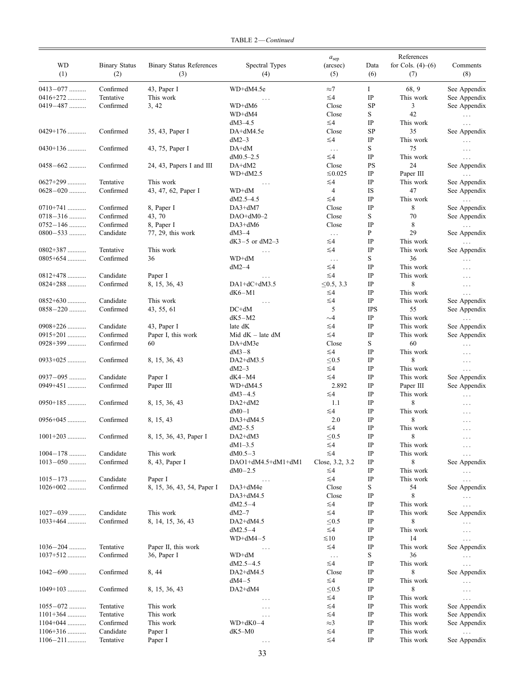|  |  | TABLE 2-Continued |
|--|--|-------------------|
|--|--|-------------------|

|              |                      |                                 |                      | $a_{\rm sep}$   |             | References          |              |
|--------------|----------------------|---------------------------------|----------------------|-----------------|-------------|---------------------|--------------|
| WD           | <b>Binary Status</b> | <b>Binary Status References</b> | Spectral Types       | (arcsec)        | Data        | for Cols. $(4)–(6)$ | Comments     |
| (1)          | (2)                  | (3)                             | (4)                  | (5)             | (6)         | (7)                 | (8)          |
| $0413 - 077$ | Confirmed            | 43, Paper I                     | WD+dM4.5e            | $\approx$ 7     | $\bf{I}$    | 68, 9               | See Appendix |
| $0416+272$   | Tentative            | This work                       | .                    | $\leq 4$        | $_{\rm IP}$ | This work           | See Appendix |
| 0419-487     | Confirmed            | 3, 42                           | WD+dM6               | Close           | SP          | 3                   | See Appendix |
|              |                      |                                 | WD+dM4               | Close           | S           | 42                  | $\cdots$     |
|              |                      |                                 | $dM3-4.5$            | $\leq 4$        | $_{\rm IP}$ | This work           | $\ldots$     |
| $0429+176$   | Confirmed            | 35, 43, Paper I                 | DA+dM4.5e            | Close           | SP          | 35                  | See Appendix |
|              |                      |                                 | $dM2-3$              | $\leq 4$        | $_{\rm IP}$ | This work           | $\cdots$     |
| $0430+136$   | Confirmed            | 43, 75, Paper I                 | $DA+dM$              | $\ldots$        | S           | 75                  | $\cdots$     |
|              |                      |                                 | $dM0.5-2.5$          | $\leq 4$        | $_{\rm IP}$ | This work           | $\cdots$     |
| $0458 - 662$ | Confirmed            | 24, 43, Papers I and III        | DA+dM2               | Close           | <b>PS</b>   | 24                  | See Appendix |
|              |                      |                                 | $WD+dM2.5$           | $≤0.025$        | $_{\rm IP}$ | Paper III           | $\cdots$     |
| $0627+299$   | Tentative            | This work                       | $\cdots$             | ≲4              | IP          | This work           | See Appendix |
| $0628 - 020$ | Confirmed            | 43, 47, 62, Paper I             | WD+dM                | $\overline{4}$  | IS          | 47                  | See Appendix |
|              |                      |                                 | $dM2.5-4.5$          | $\leq 4$        | $_{\rm IP}$ | This work           | $\cdots$     |
| $0710+741$   | Confirmed            | 8, Paper I                      | DA3+dM7              | Close           | $_{\rm IP}$ | 8                   | See Appendix |
| $0718 - 316$ | Confirmed            | 43, 70                          | $DAO+dM0-2$          | Close           | S           | 70                  | See Appendix |
| $0752 - 146$ | Confirmed            | 8, Paper I                      | DA3+dM6              | Close           | $_{\rm IP}$ | 8                   | $\ldots$     |
| $0800 - 533$ | Candidate            | 77, 29, this work               | $dM3-4$              | $\ldots$        | P           | 29                  | See Appendix |
|              |                      |                                 | $dK3-5$ or $dM2-3$   | ≲4              | $_{\rm IP}$ | This work           | $\cdots$     |
| $0802+387$   | Tentative            | This work                       | $\cdots$             | ≲4              | $_{\rm IP}$ | This work           | See Appendix |
| $0805+654$   | Confirmed            | 36                              | WD+dM                | $\ldots$        | S           | 36                  | .            |
|              |                      |                                 | $dM2-4$              | ≲4              | IP          | This work           | .            |
| $0812+478$   | Candidate            | Paper I                         | $\cdots$             | ≲4              | $_{\rm IP}$ | This work           | $\cdots$     |
| $0824 + 288$ | Confirmed            | 8, 15, 36, 43                   | $DA1+dC+dM3.5$       | ≤0.5, 3.3       | $_{\rm IP}$ | 8                   | $\cdots$     |
|              |                      |                                 | $dK6-M1$             | ≲4              | IP          | This work           | .            |
| $0852+630$   | Candidate            | This work                       | $\cdots$             | ≲4              | $_{\rm IP}$ | This work           | See Appendix |
| $0858 - 220$ | Confirmed            | 43, 55, 61                      | $DC+dM$              | 5               | <b>IPS</b>  | 55                  | See Appendix |
|              |                      |                                 | $dK5-M2$             | $\sim$ 4        | $_{\rm IP}$ | This work           | $\cdots$     |
| $0908+226$   | Candidate            | 43, Paper I                     | late dK              | ≲4              | $_{\rm IP}$ | This work           | See Appendix |
| 0915+201     | Confirmed            | Paper I, this work              | Mid $dK -$ late $dM$ | $\leq 4$        | $_{\rm IP}$ | This work           | See Appendix |
| $0928+399$   | Confirmed            | 60                              | DA+dM3e              | Close           | S           | 60                  | $\cdots$     |
|              |                      |                                 | $dM3-8$              | $\leq 4$        | $_{\rm IP}$ | This work           | $\cdots$     |
| $0933+025$   | Confirmed            | 8, 15, 36, 43                   | $DA2+dM3.5$          | < 0.5           | $_{\rm IP}$ | 8                   | $\cdots$     |
|              |                      |                                 | $dM2-3$              | ≲4              | IP          | This work           | $\cdots$     |
| $0937 - 095$ | Candidate            | Paper I                         | $dK4-M4$             | ≲4              | $_{\rm IP}$ | This work           | See Appendix |
| 0949+451     | Confirmed            | Paper III                       | $WD+dM4.5$           | 2.892           | $_{\rm IP}$ | Paper III           | See Appendix |
|              |                      |                                 | $dM3 - 4.5$          | ≲4              | $_{\rm IP}$ | This work           | $\cdots$     |
| $0950+185$   | Confirmed            | 8, 15, 36, 43                   | $DA2+dM2$            | 1.1             | $_{\rm IP}$ | 8                   | $\cdots$     |
|              |                      |                                 | $dM0-1$              | $\leq 4$        | $_{\rm IP}$ | This work           | .            |
| $0956+045$   | Confirmed            | 8, 15, 43                       | DA3+dM4.5            | 2.0             | IP          | 8                   | $\cdots$     |
|              |                      |                                 | $dM2 - 5.5$          | $\leq 4$        | $_{\rm IP}$ | This work           |              |
| $1001+203$   | Confirmed            | 8, 15, 36, 43, Paper I          | $DA2+dM3$            | $\leq 0.5$      | $\rm IP$    | $\,$ 8 $\,$         | $\cdots$     |
|              |                      |                                 | $dM1 - 3.5$          | ≲4              | IP          | This work           | $\cdots$     |
| $1004 - 178$ | Candidate            | This work                       | $dM0.5-3$            | ≲4              | $\rm IP$    | This work           | $\cdots$     |
| $1013 - 050$ | Confirmed            | 8, 43, Paper I                  | DAO1+dM4.5+dM1+dM1   | Close, 3.2, 3.2 | IP          | 8                   | See Appendix |
|              |                      |                                 | $dM0-2.5$            | ≲4              | $\rm IP$    | This work           | $\cdots$     |
| $1015 - 173$ | Candidate            | Paper I                         |                      | $\leq 4$        | $\rm IP$    | This work           | $\cdots$     |
| $1026 + 002$ | Confirmed            | 8, 15, 36, 43, 54, Paper I      | DA3+dM4e             | Close           | S           | 54                  | See Appendix |
|              |                      |                                 | DA3+dM4.5            | Close           | $\rm IP$    | 8                   | $\cdots$     |
|              |                      |                                 | $dM2.5-4$            | ≲4              | $\rm IP$    | This work           | $\ldots$     |
| $1027 - 039$ | Candidate            | This work                       | $dM2-7$              | ≲4              | $_{\rm IP}$ | This work           | See Appendix |
| $1033+464$   | Confirmed            | 8, 14, 15, 36, 43               | DA2+dM4.5            | ≤ $0.5$         | $\rm IP$    | 8                   | $\cdots$     |
|              |                      |                                 | $dM2.5-4$            | ≲4              | $\rm IP$    | This work           | $\cdots$     |
|              |                      |                                 | $WD+dM4-5$           | $\leq 10$       | $\rm IP$    | 14                  | $\cdots$     |
| $1036 - 204$ | Tentative            | Paper II, this work             | $\ldots$             | ≲4              | IP          | This work           | See Appendix |
| $1037 + 512$ | Confirmed            | 36, Paper I                     | WD+dM                | $\ldots$        | S           | 36                  | $\cdots$     |
|              |                      |                                 | $dM2.5 - 4.5$        | $\leq 4$        | $\rm IP$    | This work           | .            |
| $1042 - 690$ | Confirmed            | 8, 44                           | $DA2+ dM4.5$         | Close           | $\rm IP$    | 8                   | See Appendix |
|              |                      |                                 | $dM4-5$              | ≲4              | $\rm IP$    | This work           | $\cdots$     |
| $1049+103$   | Confirmed            | 8, 15, 36, 43                   | DA2+dM4              | $\leq 0.5$      | $\rm IP$    | 8                   | $\cdots$     |
|              |                      |                                 | .                    | ≲4              | $\rm IP$    | This work           | $\cdots$     |
| $1055 - 072$ | Tentative            | This work                       | .                    | ≲4              | IP          | This work           | See Appendix |
| $1101+364$   | Tentative            | This work                       | $\cdots$             | ≲4              | $\rm IP$    | This work           | See Appendix |
| $1104+044$   | Confirmed            | This work                       | $WD+dK0-4$           | $\approx$ 3     | $\rm IP$    | This work           | See Appendix |
| $1106+316$   | Candidate            | Paper I                         | $dK5-M0$             | ≲4              | IP          | This work           |              |
| $1106 - 211$ | Tentative            | Paper I                         | $\cdots$             | ≲4              | $\rm IP$    | This work           | See Appendix |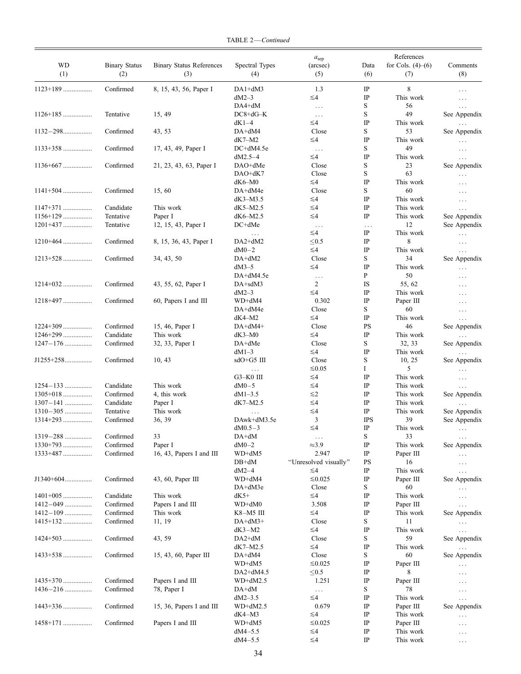| WD<br>(1)       | <b>Binary Status</b><br>(2) | <b>Binary Status References</b><br>(3) | Spectral Types<br>(4) | a <sub>sep</sub><br>(arcsec)<br>(5) | Data<br>(6) | References<br>for Cols. $(4)–(6)$<br>(7) | Comments<br>(8) |
|-----------------|-----------------------------|----------------------------------------|-----------------------|-------------------------------------|-------------|------------------------------------------|-----------------|
| $1123+189$      | Confirmed                   | 8, 15, 43, 56, Paper I                 | $DA1+dM3$             | 1.3                                 | IP          | 8                                        | $\ldots$        |
|                 |                             |                                        | $dM2-3$               | $\lesssim$ 4                        | IP          | This work                                | $\ldots$        |
|                 |                             |                                        | $DA4+dM$              | $\ldots$                            | S           | 56                                       | $\cdots$        |
| $1126+185$      | Tentative                   | 15, 49                                 | $DC8 + dG - K$        | $\ldots$                            | S           | 49                                       | See Appendix    |
|                 |                             |                                        | $dK1-4$               | $\lesssim$ 4                        | $\rm IP$    | This work                                | $\ldots$        |
| $1132 - 298$    | Confirmed                   | 43, 53                                 | DA+dM4                | Close                               | S           | 53                                       | See Appendix    |
|                 |                             |                                        | $dK7-M2$              | ≲4                                  | $_{\rm IP}$ | This work                                |                 |
| $1133+358$      | Confirmed                   | 17, 43, 49, Paper I                    | DC+dM4.5e             |                                     | S           | 49                                       | $\ldots$        |
|                 |                             |                                        | $dM2.5-4$             | $\sim$ $\sim$ $\sim$<br>≲4          | $_{\rm IP}$ | This work                                | $\ldots$        |
| $1136+667$      | Confirmed                   |                                        |                       | Close                               | S           | 23                                       | $\ldots$        |
|                 |                             | 21, 23, 43, 63, Paper I                | DAO+dMe               |                                     |             |                                          | See Appendix    |
|                 |                             |                                        | $DAO+dK7$             | Close                               | $\mathbf S$ | 63                                       | $\ldots$        |
|                 |                             |                                        | $dK6-M0$              | $\leq 4$                            | $_{\rm IP}$ | This work                                | $\ldots$        |
| $1141+504$      | Confirmed                   | 15,60                                  | DA+dM4e               | Close                               | S           | 60                                       | $\cdots$        |
|                 |                             |                                        | $dK3-M3.5$            | ≲4                                  | $_{\rm IP}$ | This work                                | $\ldots$        |
| $1147+371$      | Candidate                   | This work                              | $dK5-M2.5$            | $\leq 4$                            | $_{\rm IP}$ | This work                                | $\ldots$        |
| $1156+129$      | Tentative                   | Paper I                                | $dK6-M2.5$            | ≲4                                  | $_{\rm IP}$ | This work                                | See Appendix    |
| $1201+437$      | Tentative                   | 12, 15, 43, Paper I                    | $DC+dMe$              | $\ldots$                            | $\ldots$    | 12                                       | See Appendix    |
|                 |                             |                                        | $\ldots$              | $\lesssim$ 4                        | $_{\rm IP}$ | This work                                | $\ldots$        |
| $1210+464$      | Confirmed                   | 8, 15, 36, 43, Paper I                 | $DA2+dM2$             | < 0.5                               | IP          | 8                                        | $\ldots$        |
|                 |                             |                                        | $dM0-2$               | $\lesssim$ 4                        | $_{\rm IP}$ | This work                                |                 |
|                 |                             |                                        |                       |                                     | S           | 34                                       | $\cdots$        |
| $1213+528$      | Confirmed                   | 34, 43, 50                             | DA+dM2                | Close                               |             |                                          | See Appendix    |
|                 |                             |                                        | $dM3-5$               | $\leq 4$                            | IP          | This work                                | $\ldots$        |
|                 |                             |                                        | DA+dM4.5e             | $\ldots$                            | P           | 50                                       | $\cdots$        |
| $1214+032$      | Confirmed                   | 43, 55, 62, Paper I                    | DA+sdM3               | $\overline{c}$                      | IS          | 55, 62                                   | $\ldots$        |
|                 |                             |                                        | $dM2-3$               | ≲4                                  | $_{\rm IP}$ | This work                                | $\ldots$        |
| $1218+497$      | Confirmed                   | 60, Papers I and III                   | WD+dM4                | 0.302                               | $_{\rm IP}$ | Paper III                                | $\ldots$        |
|                 |                             |                                        | DA+dM4e               | Close                               | S           | 60                                       | $\ldots$        |
|                 |                             |                                        | $dK4-M2$              | ≲4                                  | $\rm IP$    | This work                                | $\cdots$        |
| $1224 + 309$    | Confirmed                   | 15, 46, Paper I                        | DA+dM4+               | Close                               | <b>PS</b>   | 46                                       | See Appendix    |
| $1246+299$      | Candidate                   | This work                              | $dK3-M0$              | $\leq 4$                            | $_{\rm IP}$ | This work                                |                 |
|                 |                             |                                        |                       | Close                               |             |                                          |                 |
| $1247 - 176$    | Confirmed                   | 32, 33, Paper I                        | DA+dMe                |                                     | S           | 32, 33                                   | See Appendix    |
|                 |                             |                                        | $dM1-3$               | $\lesssim$ 4                        | IP          | This work                                | $\ldots$        |
| J1255+258       | Confirmed                   | 10, 43                                 | sdO+G5 III            | Close                               | $\mathbf S$ | 10, 25                                   | See Appendix    |
|                 |                             |                                        | $\ldots$ .            | $≤ 0.05$                            | Ι           | 5                                        | $\ldots$        |
|                 |                             |                                        | $G3-K0$ III           | ≲4                                  | $_{\rm IP}$ | This work                                | $\ldots$        |
| $1254 - 133$    | Candidate                   | This work                              | $dM0-5$               | ≤4                                  | $_{\rm IP}$ | This work                                | $\ldots$        |
| 1305+018        | Confirmed                   | 4, this work                           | $dM1-3.5$             | $\leq$ 2                            | $_{\rm IP}$ | This work                                | See Appendix    |
| $1307 - 141$    | Candidate                   | Paper I                                | $dK7-M2.5$            | ≲4                                  | $_{\rm IP}$ | This work                                | $\ldots$        |
| $1310 - 305$    | Tentative                   | This work                              | $\ldots$              | $\leq 4$                            | $_{\rm IP}$ | This work                                | See Appendix    |
| $1314+293$      | Confirmed                   | 36, 39                                 | DAwk+dM3.5e           | 3                                   | <b>IPS</b>  | 39                                       | See Appendix    |
|                 |                             |                                        | $dM0.5-3$             | ≤4                                  | $_{\rm IP}$ | This work                                |                 |
|                 |                             | 33                                     | $DA+dM$               |                                     | S           | 33                                       | $\ldots$        |
| 1319—288 ……………. | Confirmed                   |                                        |                       | $\cdots$                            |             |                                          | $\ldots$        |
| $1330+793$      | Confirmed                   | Paper I                                | $dM0-2$               | $\approx 3.9$                       | IP          | This work                                | See Appendix    |
| $1333+487$      | Confirmed                   | 16, 43, Papers I and III               | WD+dM5                | 2.947                               | IP          | Paper III                                | $\ldots$        |
|                 |                             |                                        | $DB+dM$               | "Unresolved visually"               | PS          | 16                                       | $\ldots$        |
|                 |                             |                                        | $dM2-4$               | ≲4                                  | IP          | This work                                | $\ldots$        |
| J1340+604       | Confirmed                   | 43, 60, Paper III                      | WD+dM4                | $≤0.025$                            | IP          | Paper III                                | See Appendix    |
|                 |                             |                                        | $DA+dM3e$             | Close                               | S           | 60                                       | $\ldots$        |
| $1401+005$      | Candidate                   | This work                              | $dK5+$                | ≲4                                  | IP          | This work                                | $\ldots$        |
| $1412 - 049$    | Confirmed                   | Papers I and III                       | WD+dM0                | 3.508                               | IP          | Paper III                                | $\ldots$        |
| 1412-109        | Confirmed                   | This work                              | K8-M5 III             | ≲4                                  | IP          | This work                                | See Appendix    |
| $1415+132$      | Confirmed                   | 11, 19                                 | $DA+dM3+$             | Close                               | S           | 11                                       |                 |
|                 |                             |                                        |                       | ≲4                                  | IP          | This work                                | $\ldots$        |
|                 |                             |                                        | $dK3-M2$              |                                     |             |                                          | $\ldots$        |
| $1424 + 503$    | Confirmed                   | 43, 59                                 | $DA2+dM$              | Close                               | S           | 59                                       | See Appendix    |
|                 |                             |                                        | $dK7-M2.5$            | $\leq 4$                            | IP          | This work                                | $\cdots$        |
|                 | Confirmed                   | 15, 43, 60, Paper III                  | DA+dM4                | Close                               | S           | 60                                       | See Appendix    |
|                 |                             |                                        | WD+dM5                | ≤0.025                              | IP          | Paper III                                | $\ldots$        |
|                 |                             |                                        | $DA2+ dM4.5$          | $\leq 0.5$                          | IP          | 8                                        | $\cdots$        |
| 1435+370        | Confirmed                   | Papers I and III                       | $WD+dM2.5$            | 1.251                               | IP          | Paper III                                | .               |
|                 | Confirmed                   | 78, Paper I                            | $DA+dM$               | $\ldots$                            | S           | 78                                       | $\cdots$        |
|                 |                             |                                        | $dM2 - 3.5$           | ≲4                                  | IP          | This work                                | $\ldots$        |
| 1443+336        | Confirmed                   | 15, 36, Papers I and III               | $WD+dM2.5$            | 0.679                               | IP          | Paper III                                | See Appendix    |
|                 |                             |                                        |                       |                                     | IP          |                                          |                 |
|                 |                             |                                        | $dK4-M3$              | ≲4                                  |             | This work                                | $\ldots$        |
| 1458+171        | Confirmed                   | Papers I and III                       | WD+dM5                | ≤0.025                              | IP          | Paper III                                | $\ldots$        |
|                 |                             |                                        | $dM4 - 5.5$           | ≤4                                  | $_{\rm IP}$ | This work                                | $\ldots$        |

TABLE 2—Continued

 $dM4-5.5$   $\leq 4$  IP This work ...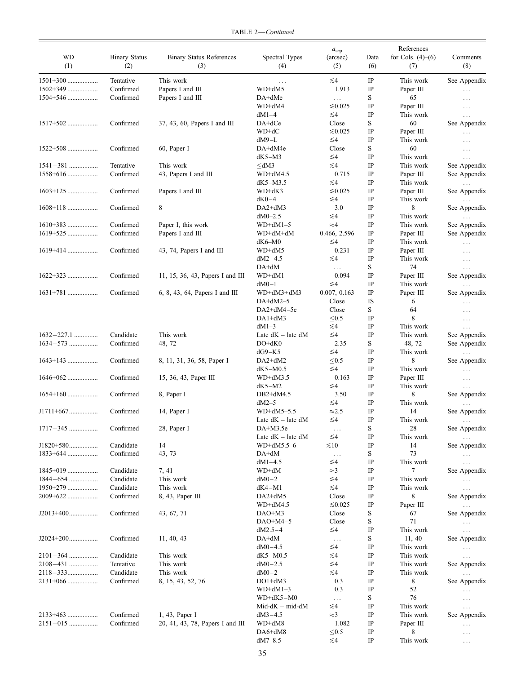| WD<br>(1)      | <b>Binary Status</b><br>(2) | <b>Binary Status References</b><br>(3) | Spectral Types<br>(4)       | $a_{\rm sep}$<br>(arcsec)<br>(5) | Data<br>(6) | References<br>for Cols. $(4)$ – $(6)$<br>(7) | Comments<br>(8)          |
|----------------|-----------------------------|----------------------------------------|-----------------------------|----------------------------------|-------------|----------------------------------------------|--------------------------|
| $1501+300$     | Tentative                   | This work                              | $\ldots$                    | $\leq 4$                         | IP          | This work                                    | See Appendix             |
| $1502+349$     | Confirmed                   | Papers I and III                       | WD+dM5                      | 1.913                            | IP          | Paper III                                    | $\cdots$                 |
| $1504 + 546$   | Confirmed                   | Papers I and III                       | DA+dMe                      | $\cdots$                         | S           | 65                                           | $\cdots$                 |
|                |                             |                                        | WD+dM4                      | $≤0.025$                         | $_{\rm IP}$ | Paper III                                    | $\cdots$                 |
|                |                             |                                        | $dM1-4$                     | ≤4                               | $_{\rm IP}$ | This work                                    | $\cdots$                 |
| $1517+502$     | Confirmed                   | $37, 43, 60,$ Papers I and III         | $DA + dCe$                  | Close                            | S           | 60                                           | See Appendix             |
|                |                             |                                        | WD+dC                       | $≤0.025$                         | IP          | Paper III                                    | $\cdots$                 |
|                |                             |                                        | $dM9-L$                     | ≤4                               | $_{\rm IP}$ | This work                                    | $\ddotsc$                |
| $1522+508$     | Confirmed                   | 60, Paper I                            | DA+dM4e                     | Close                            | $\mathbf S$ | 60                                           | $\cdots$                 |
|                |                             |                                        | $dK5-M3$                    | ≤4                               | $_{\rm IP}$ | This work                                    | $\cdots$                 |
| $1541 - 381$   | Tentative                   | This work                              | $\leq$ dM3                  | ≤4                               | $_{\rm IP}$ | This work                                    | See Appendix             |
| $1558+616$     | Confirmed                   | 43, Papers I and III                   | $WD+dM4.5$                  | 0.715                            | $_{\rm IP}$ | Paper III                                    | See Appendix             |
|                |                             |                                        | $dK5-M3.5$                  | ≤4                               | $_{\rm IP}$ | This work                                    | $\cdots$                 |
| $1603+125$     | Confirmed                   | Papers I and III                       | WD+dK3                      | $≤0.025$                         | $_{\rm IP}$ | Paper III                                    | See Appendix             |
|                |                             |                                        | $dK0-4$                     | ≤4                               | $_{\rm IP}$ | This work                                    | $\ldots$                 |
| $1608+118$     | Confirmed                   | 8                                      | $DA2+dM3$                   | 3.0                              | $_{\rm IP}$ | 8                                            | See Appendix             |
|                |                             |                                        | $dM0-2.5$                   | ≤4                               | $_{\rm IP}$ | This work                                    | $\cdots$                 |
| $1610+383$     | Confirmed                   | Paper I, this work                     | $WD+dM1-5$                  | $\approx 4$                      | IP          | This work                                    | See Appendix             |
| 1619+525       | Confirmed                   | Papers I and III                       | WD+dM+dM                    | 0.466, 2.596                     | $_{\rm IP}$ | Paper III                                    | See Appendix             |
|                |                             |                                        | $dK6-M0$                    | ≤4                               | $_{\rm IP}$ | This work                                    | $\cdots$                 |
| $1619+414$     | Confirmed                   | 43, 74, Papers I and III               | WD+dM5                      | 0.231                            | $_{\rm IP}$ | Paper III                                    | $\cdots$                 |
|                |                             |                                        | $dM2-4.5$                   | ≤4                               | $_{\rm IP}$ | This work                                    | $\cdots$                 |
|                |                             |                                        | $DA+dM$                     | $\cdots$                         | S           | 74                                           | $\cdots$                 |
| $1622+323$     | Confirmed                   | 11, 15, 36, 43, Papers I and III       | WD+dM1                      | 0.094                            | $_{\rm IP}$ | Paper III                                    | See Appendix             |
|                |                             |                                        | $dM0-1$                     | $\leq 4$                         | $_{\rm IP}$ | This work                                    |                          |
| $1631+781$     | Confirmed                   | 6, 8, 43, 64, Papers I and III         | WD+dM3+dM3                  | 0.007, 0.163                     | IP          | Paper III                                    | See Appendix             |
|                |                             |                                        | $DA+dM2-5$                  | Close                            | IS          | 6                                            | $\cdots$                 |
|                |                             |                                        | DA2+dM4-5e                  | Close                            | S           | 64                                           | $\ddotsc$                |
|                |                             |                                        | $DA1+dM3$                   | $\leq 0.5$                       | $_{\rm IP}$ | 8                                            | $\cdots$                 |
|                |                             |                                        | $dM1-3$                     | ≤4                               | $_{\rm IP}$ | This work                                    | $\cdots$                 |
| $1632 - 227.1$ | Candidate                   | This work                              | Late $dK -$ late $dM$       | ≤4                               | IP          | This work                                    | See Appendix             |
| $1634 - 573$   | Confirmed                   | 48, 72                                 | $DO+dK0$                    | 2.35                             | S           | 48, 72                                       | See Appendix             |
|                |                             |                                        | $dG9-K5$                    | ≤4                               | $_{\rm IP}$ | This work                                    | .                        |
| $1643+143$     | Confirmed                   | 8, 11, 31, 36, 58, Paper I             | $DA2+dM2$                   | < 0.5                            | $_{\rm IP}$ | 8                                            | See Appendix             |
|                |                             |                                        | $dK5-M0.5$                  | ≤4                               | $_{\rm IP}$ | This work                                    | $\cdots$                 |
|                | Confirmed                   | 15, 36, 43, Paper III                  | $WD+dM3.5$                  | 0.163                            | $_{\rm IP}$ | Paper III                                    |                          |
|                |                             |                                        | $dK5-M2$                    | ≲4                               | $_{\rm IP}$ | This work                                    | $\cdots$                 |
| $1654+160$     | Confirmed                   | 8, Paper I                             | $DB2+ dM4.5$                | 3.50                             | $_{\rm IP}$ | 8                                            | .<br>See Appendix        |
|                |                             |                                        | $dM2-5$                     | ≤4                               | $_{\rm IP}$ | This work                                    |                          |
| $J1711+667$    | Confirmed                   | 14, Paper I                            | $WD+dM5-5.5$                | $\approx$ 2.5                    | IP          | 14                                           | .<br>See Appendix        |
|                |                             |                                        | Late $dK - \text{late } dM$ | $\leq 4$                         | IP          | This work                                    |                          |
| $1717 - 345$   | Confirmed                   | 28, Paper I                            | DA+M3.5e                    |                                  | S           | $28\,$                                       | $\cdots$<br>See Appendix |
|                |                             |                                        |                             | $\ddots$                         |             |                                              |                          |
|                |                             |                                        | Late $dK -$ late $dM$       | ≤4                               | IP          | This work                                    | .                        |
| $J1820+580$    | Candidate                   | 14                                     | $WD+dM5.5-6$                | $\lesssim$ 10                    | IP          | 14                                           | See Appendix             |
| $1833+644$     | Confirmed                   | 43, 73                                 | $DA+ dM$                    | $\ddots$                         | S           | 73                                           | $\cdots$                 |
|                |                             |                                        | $dM1-4.5$                   | ≤4                               | IP          | This work                                    | $\cdots$                 |
| $1845+019$     | Candidate                   | 7, 41                                  | WD+dM                       | $\approx$ 3                      | IP          | 7                                            | See Appendix             |
| $1844 - 654$   | Candidate                   | This work                              | $dM0-2$                     | ≤4                               | $\rm IP$    | This work                                    | $\ldots$                 |
| 1950+279       | Candidate                   | This work                              | $dK4-M1$                    | ≤4                               | IP          | This work                                    | $\cdots$                 |
| 2009+622       | Confirmed                   | 8, 43, Paper III                       | $DA2+dM5$                   | Close                            | $\rm IP$    | 8                                            | See Appendix             |
|                |                             |                                        | $WD+dM4.5$                  | $≤0.025$                         | IP          | Paper III                                    | $\cdots$                 |
| $J2013+400$    | Confirmed                   | 43, 67, 71                             | $DAO+M3$                    | Close                            | S           | 67                                           | See Appendix             |
|                |                             |                                        | $DAO+M4-5$                  | Close                            | $\mathbf S$ | 71                                           | $\cdots$                 |
|                |                             |                                        | $dM2.5-4$                   | ≤4                               | IP          | This work                                    | $\ddotsc$                |
| $J2024+200$    | Confirmed                   | 11, 40, 43                             | DA+dM                       | $\ddots$                         | S           | 11, 40                                       | See Appendix             |
|                |                             |                                        | $dM0-4.5$                   | ≲4                               | IP          | This work                                    | $\cdots$                 |
| $2101 - 364$   | Candidate                   | This work                              | $dK5-M0.5$                  | ≤4                               | IP          | This work                                    | $\cdots$                 |
| 2108-431       | Tentative                   | This work                              | $dM0 - 2.5$                 | ≤4                               | IP          | This work                                    | See Appendix             |
| $2118 - 333$   | Candidate                   | This work                              | $dM0-2$                     | ≤4                               | IP          | This work                                    | $\cdots$                 |
| $2131+066$     | Confirmed                   | 8, 15, 43, 52, 76                      | $DO1+dM3$                   | 0.3                              | IP          | 8                                            | See Appendix             |
|                |                             |                                        | $WD+dM1-3$                  | 0.3                              | IP          | 52                                           | $\cdots$                 |
|                |                             |                                        | $WD+dK5-M0$                 | $\ldots$                         | S           | 76                                           | $\cdots$                 |
|                |                             |                                        | $Mid-dK - mid-dM$           | ≲4                               | IP          | This work                                    | $\cdots$                 |
| $2133+463$     | Confirmed                   | 1, 43, Paper I                         | $dM3 - 4.5$                 | $\approx$ 3                      | IP          | This work                                    | See Appendix             |
| $2151 - 015$   | Confirmed                   | 20, 41, 43, 78, Papers I and III       | WD+dM8                      | 1.082                            | IP          | Paper III                                    | $\cdots$                 |
|                |                             |                                        | DA6+dM8                     | ≤ $0.5$                          | IP          | 8                                            | $\cdots$                 |
|                |                             |                                        | $dM7-8.5$                   | ≲4                               | IP          | This work                                    | $\cdots$                 |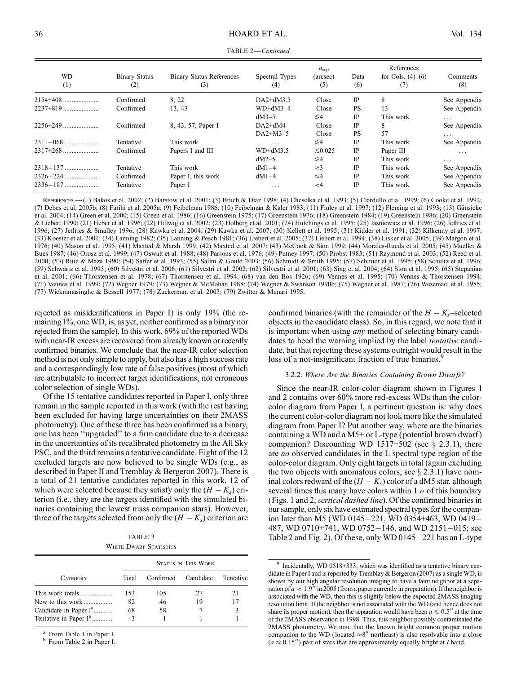| TABLE 2-Continued |
|-------------------|
|                   |

| <b>WD</b><br>(1) | <b>Binary Status</b><br>(2) | <b>Binary Status References</b><br>(3) | Spectral Types<br>(4)   | a <sub>sep</sub><br>(arcsec)<br>(5) | Data<br>(6) | References<br>for Cols. $(4)–(6)$<br>(7) | Comments<br>(8) |
|------------------|-----------------------------|----------------------------------------|-------------------------|-------------------------------------|-------------|------------------------------------------|-----------------|
| $2154+408$       | Confirmed                   | 8.22                                   | $DA2+ dM3.5$            | Close                               | IP          | 8                                        | See Appendix    |
|                  | Confirmed                   | 13, 43                                 | $WD+dM3-4$              | Close                               | <b>PS</b>   | 13                                       | See Appendix    |
|                  |                             |                                        | $dM3-5$                 | $\leq 4$                            | <b>IP</b>   | This work                                | $\cdots$        |
|                  | Confirmed                   | 8, 43, 57, Paper I                     | $DA2+dM4$               | Close                               | <b>IP</b>   | 8                                        | See Appendix    |
|                  |                             |                                        | $DA2+M3-5$              | Close                               | <b>PS</b>   | 57                                       | $\cdots$        |
|                  | Tentative                   | This work                              | $\cdots$                | $\leq 4$                            | IP          | This work                                | See Appendix    |
|                  | Confirmed                   | Papers I and III                       | $WD+dM3.5$              | $\leq 0.025$                        | IP          | Paper III                                | $\cdots$        |
|                  |                             |                                        | $dM2-5$                 | $\leq 4$                            | IP          | This work                                | $\cdot$ .       |
|                  | Tentative                   | This work                              | $dM1-4$                 | $\approx$ 3                         | IP          | This work                                | See Appendix    |
|                  | Confirmed                   | Paper I, this work                     | $dM1-4$                 | $\approx 4$                         | <b>IP</b>   | This work                                | See Appendix    |
|                  | Tentative                   | Paper I                                | $\cdot$ $\cdot$ $\cdot$ | $\approx 4$                         | IP          | This work                                | See Appendix    |

References.—(1) Bakos et al. 2002; (2) Barstow et al. 2001; (3) Bruch & Diaz 1998; (4) Cheselka et al. 1993; (5) Ciardullo et al. 1999; (6) Cooke et al. 1992; (7) Debes et al. 2005b; (8) Farihi et al. 2005a; (9) Feibelman 1986; (10) Feibelman & Kaler 1983; (11) Finley et al. 1997; (12) Fleming et al. 1993; (13) Gänsicke et al. 2004; (14) Green et al. 2000; (15) Green et al. 1986; (16) Greenstein 1975; (17) Greenstein 1976; (18) Greenstein 1984; (19) Greenstein 1986; (20) Greenstein & Liebert 1990; (21) Heber et al. 1996; (22) Hillwig et al. 2002; (23) Holberg et al. 2001; (24) Hutchings et al. 1995; (25) Jasniewicz et al. 1996; (26) Jeffries et al. 1996; (27) Jeffries & Smalley 1996; (28) Kawka et al. 2004; (29) Kawka et al. 2007; (30) Kellett et al. 1995; (31) Kidder et al. 1991; (32) Kilkenny et al. 1997; (33) Koester et al. 2001; (34) Lanning 1982; (35) Lanning & Pesch 1981; (36) Liebert et al. 2005; (37) Liebert et al. 1994; (38) Lisker et al. 2005; (39) Margon et al. 1976; (40) Mason et al. 1995; (41) Maxted & Marsh 1999; (42) Maxted et al. 2007; (43) McCook & Sion 1999; (44) Morales-Rueda et al. 2005; (45) Mueller & Bues 1987; (46) Orosz et al. 1999; (47) Oswalt et al. 1988; (48) Parsons et al. 1976; (49) Putney 1997; (50) Probst 1983; (51) Raymond et al. 2003; (52) Reed et al. 2000; (53) Ruiz & Maza 1990; (54) Saffer et al. 1993; (55) Salim & Gould 2003; (56) Schmidt & Smith 1995; (57) Schmidt et al. 1995; (58) Schultz et al. 1996; (59) Schwartz et al. 1995; (60) Silvestri et al. 2006; (61) Silvestri et al. 2002; (62) Silvestri et al. 2001; (63) Sing et al. 2004; (64) Sion et al. 1995; (65) Stepanian et al. 2001; (66) Thorstensen et al. 1978; (67) Thorstensen et al. 1994; (68) van den Bos 1926; (69) Vennes et al. 1995; (70) Vennes & Thorstensen 1994; (71) Vennes et al. 1999; (72) Wegner 1979; (73) Wegner & McMahan 1988; (74) Wegner & Swanson 1990b; (75) Wegner et al. 1987; (76) Wesemael et al. 1985; (77) Wickramasinghe & Bessell 1977; (78) Zuckerman et al. 2003; (79) Zwitter & Munari 1995.

rejected as misidentifications in Paper I) is only 19% (the remaining1%, one WD, is, as yet, neither confirmed as a binary nor rejected from the sample). In this work, 69% of the reported WDs with near-IR excess are recovered from already known or recently confirmed binaries. We conclude that the near-IR color selection method is not only simple to apply, but also has a high success rate and a correspondingly low rate of false positives (most of which are attributable to incorrect target identifications, not erroneous color selection of single WDs).

Of the 15 tentative candidates reported in Paper I, only three remain in the sample reported in this work (with the rest having been excluded for having large uncertainties on their 2MASS photometry). One of these three has been confirmed as a binary, one has been ''upgraded'' to a firm candidate due to a decrease in the uncertainties of its recalibrated photometry in the All Sky PSC, and the third remains a tentative candidate. Eight of the 12 excluded targets are now believed to be single WDs (e.g., as described in Paper II and Tremblay & Bergeron 2007). There is a total of 21 tentative candidates reported in this work, 12 of which were selected because they satisfy only the  $(H - K_s)$  criterion (i.e., they are the targets identified with the simulated binaries containing the lowest mass companion stars). However, three of the targets selected from only the  $(H - K_s)$  criterion are

TABLE 3 WHITE DWARF STATISTICS

|                                   | STATUS IN THIS WORK |           |           |                  |  |  |  |  |
|-----------------------------------|---------------------|-----------|-----------|------------------|--|--|--|--|
| <b>CATEGORY</b>                   | Total               | Confirmed | Candidate | <b>Tentative</b> |  |  |  |  |
| This work totals                  | 153                 | 105       | 27        | 21               |  |  |  |  |
| New to this work                  | 82                  | 46        | 19        | 17               |  |  |  |  |
| Candidate in Paper I <sup>a</sup> | 68                  | 58        |           |                  |  |  |  |  |
| Tentative in Paper I <sup>b</sup> | 3                   |           |           |                  |  |  |  |  |

 $<sup>a</sup>$  From Table 1 in Paper I.<br> $<sup>b</sup>$  From Table 2 in Paper I.</sup></sup>

confirmed binaries (with the remainder of the  $H - K<sub>s</sub>$ -selected objects in the candidate class). So, in this regard, we note that it is important when using *any* method of selecting binary candidates to heed the warning implied by the label tentative candidate, but that rejecting these systems outright would result in the loss of a not-insignificant fraction of true binaries.<sup>9</sup>

#### 3.2.2. Where Are the Binaries Containing Brown Dwarfs?

Since the near-IR color-color diagram shown in Figures 1 and 2 contains over 60% more red-excess WDs than the colorcolor diagram from Paper I, a pertinent question is: why does the current color-color diagram not look more like the simulated diagram from Paper I? Put another way, where are the binaries containing a WD and a M5+ or L-type ( potential brown dwarf ) companion? Discounting WD 1517+502 (see  $\S$  2.3.1), there are no observed candidates in the L spectral type region of the color-color diagram. Only eight targets in total (again excluding the two objects with anomalous colors; see  $\S$  2.3.1) have nominal colors redward of the  $(H - K_s)$  color of a dM5 star, although several times this many have colors within 1  $\sigma$  of this boundary (Figs. 1 and 2, vertical dashed line). Of the confirmed binaries in our sample, only six have estimated spectral types for the companion later than M5 (WD 0145-221, WD 0354+463, WD 0419-487, WD 0710+741, WD 0752-146, and WD 2151-015; see Table 2 and Fig. 2). Of these, only  $WD$  0145 $-221$  has an L-type

<sup>&</sup>lt;sup>9</sup> Incidentally, WD 0518+333, which was identified as a tentative binary candidate in Paper I and is reported by Tremblay & Bergeron (2007) as a single WD, is shown by our high angular resolution imaging to have a faint neighbor at a separation of  $a \approx 1.9$ <sup>t</sup> in 2005 (from a paper currently in preparation). If the neighbor is associated with the WD, then this is slightly below the expected 2MASS imaging resolution limit. If the neighbor is not associated with the WD (and hence does not share its proper motion), then the separation would have been  $a \leq 0.5$ <sup>n</sup> at the time of the 2MASS observation in 1998. Thus, this neighbor possibly contaminated the 2MASS photometry. We note that the known bright common proper motion companion to the WD (located  $\approx 8$ <sup>n</sup> northeast) is also resolvable into a close  $(a \approx 0.15'')$  pair of stars that are approximately equally bright at I band.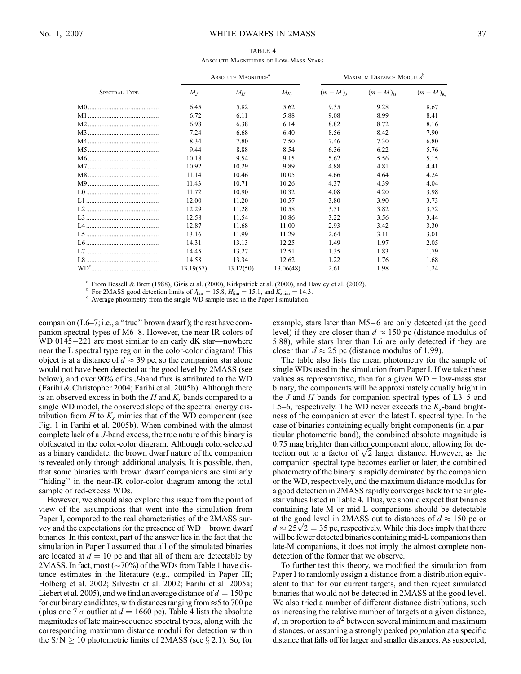| TABLE 4 |  |                                       |  |  |  |  |  |  |
|---------|--|---------------------------------------|--|--|--|--|--|--|
|         |  | ABSOLUTE MAGNITUDES OF LOW-MASS STARS |  |  |  |  |  |  |

|                      | ABSOLUTE MAGNITUDE <sup>a</sup> |           | MAXIMUM DISTANCE MODULUS <sup>b</sup> |          |           |             |
|----------------------|---------------------------------|-----------|---------------------------------------|----------|-----------|-------------|
| <b>SPECTRAL TYPE</b> | $M_I$                           | $M_H$     | $M_{K_s}$                             | $(m-M)L$ | $(m-M)_H$ | $(m-M)_{K}$ |
|                      | 6.45                            | 5.82      | 5.62                                  | 9.35     | 9.28      | 8.67        |
|                      | 6.72                            | 6.11      | 5.88                                  | 9.08     | 8.99      | 8.41        |
|                      | 6.98                            | 6.38      | 6.14                                  | 8.82     | 8.72      | 8.16        |
|                      | 7.24                            | 6.68      | 6.40                                  | 8.56     | 8.42      | 7.90        |
|                      | 8.34                            | 7.80      | 7.50                                  | 7.46     | 7.30      | 6.80        |
|                      | 9.44                            | 8.88      | 8.54                                  | 6.36     | 6.22      | 5.76        |
|                      | 10.18                           | 9.54      | 9.15                                  | 5.62     | 5.56      | 5.15        |
|                      | 10.92                           | 10.29     | 9.89                                  | 4.88     | 4.81      | 4.41        |
|                      | 11.14                           | 10.46     | 10.05                                 | 4.66     | 4.64      | 4.24        |
|                      | 11.43                           | 10.71     | 10.26                                 | 4.37     | 4.39      | 4.04        |
|                      | 11.72                           | 10.90     | 10.32                                 | 4.08     | 4.20      | 3.98        |
|                      | 12.00                           | 11.20     | 10.57                                 | 3.80     | 3.90      | 3.73        |
|                      | 12.29                           | 11.28     | 10.58                                 | 3.51     | 3.82      | 3.72        |
|                      | 12.58                           | 11.54     | 10.86                                 | 3.22     | 3.56      | 3.44        |
|                      | 12.87                           | 11.68     | 11.00                                 | 2.93     | 3.42      | 3.30        |
|                      | 13.16                           | 11.99     | 11.29                                 | 2.64     | 3.11      | 3.01        |
|                      | 14.31                           | 13.13     | 12.25                                 | 1.49     | 1.97      | 2.05        |
|                      | 14.45                           | 13.27     | 12.51                                 | 1.35     | 1.83      | 1.79        |
|                      | 14.58                           | 13.34     | 12.62                                 | 1.22     | 1.76      | 1.68        |
|                      | 13.19(57)                       | 13.12(50) | 13.06(48)                             | 2.61     | 1.98      | 1.24        |

<sup>a</sup> From Bessell & Brett (1988), Gizis et al. (2000), Kirkpatrick et al. (2000), and Hawley et al. (2002).<br><sup>b</sup> For 2MASS good detection limits of  $J_{\text{lim}} = 15.8$ ,  $H_{\text{lim}} = 15.1$ , and  $K_{s,\text{lim}} = 14.3$ .<br><sup>c</sup> Average photome

companion ( $L6-7$ ; i.e., a "true" brown dwarf); the rest have companion spectral types of M6–8. However, the near-IR colors of WD 0145 $-221$  are most similar to an early dK star—nowhere near the L spectral type region in the color-color diagram! This object is at a distance of  $d \approx 39$  pc, so the companion star alone would not have been detected at the good level by 2MASS (see below), and over 90% of its J-band flux is attributed to the WD (Farihi & Christopher 2004; Farihi et al. 2005b). Although there is an observed excess in both the  $H$  and  $K_s$  bands compared to a single WD model, the observed slope of the spectral energy distribution from  $H$  to  $K_s$  mimics that of the WD component (see Fig. 1 in Farihi et al. 2005b). When combined with the almost complete lack of a J-band excess, the true nature of this binary is obfuscated in the color-color diagram. Although color-selected as a binary candidate, the brown dwarf nature of the companion is revealed only through additional analysis. It is possible, then, that some binaries with brown dwarf companions are similarly "hiding" in the near-IR color-color diagram among the total sample of red-excess WDs.

However, we should also explore this issue from the point of view of the assumptions that went into the simulation from Paper I, compared to the real characteristics of the 2MASS survey and the expectations for the presence of WD + brown dwarf binaries. In this context, part of the answer lies in the fact that the simulation in Paper I assumed that all of the simulated binaries are located at  $d = 10$  pc and that all of them are detectable by 2MASS. In fact, most ( $\sim$ 70%) of the WDs from Table 1 have distance estimates in the literature (e.g., compiled in Paper III; Holberg et al. 2002; Silvestri et al. 2002; Farihi et al. 2005a; Liebert et al. 2005), and we find an average distance of  $d = 150$  pc for our binary candidates, with distances ranging from  $\approx$  5 to 700 pc (plus one 7  $\sigma$  outlier at  $d = 1660$  pc). Table 4 lists the absolute magnitudes of late main-sequence spectral types, along with the corresponding maximum distance moduli for detection within the  $S/N \ge 10$  photometric limits of 2MASS (see  $\S 2.1$ ). So, for

example, stars later than  $M5-6$  are only detected (at the good level) if they are closer than  $d \approx 150$  pc (distance modulus of 5.88), while stars later than L6 are only detected if they are closer than  $d \approx 25$  pc (distance modulus of 1.99).

The table also lists the mean photometry for the sample of single WDs used in the simulation from Paper I. If we take these values as representative, then for a given  $WD + low-mass$  star binary, the components will be approximately equally bright in the  $J$  and  $H$  bands for companion spectral types of L3-5 and L5–6, respectively. The WD never exceeds the  $K_s$ -band brightness of the companion at even the latest L spectral type. In the case of binaries containing equally bright components (in a particular photometric band), the combined absolute magnitude is 0.75 mag brighter than either component alone, allowing for de-0.75 mag brighter than either component alone, allowing for detection out to a factor of  $\sqrt{2}$  larger distance. However, as the companion spectral type becomes earlier or later, the combined photometry of the binary is rapidly dominated by the companion or the WD, respectively, and the maximum distance modulus for a good detection in 2MASS rapidly converges back to the singlestar values listed in Table 4. Thus, we should expect that binaries containing late-M or mid-L companions should be detectable at the good level in 2MASS out to distances of  $d \approx 150$  pc or at the good level in 2MASS out to distances of  $d \approx 150$  pc or  $d \approx 25\sqrt{2} = 35$  pc, respectively. While this does imply that there will be fewer detected binaries containing mid-L companions than late-M companions, it does not imply the almost complete nondetection of the former that we observe.

To further test this theory, we modified the simulation from Paper I to randomly assign a distance from a distribution equivalent to that for our current targets, and then reject simulated binaries that would not be detected in 2MASS at the good level. We also tried a number of different distance distributions, such as increasing the relative number of targets at a given distance, d, in proportion to  $d^2$  between several minimum and maximum distances, or assuming a strongly peaked population at a specific distance that falls off for larger and smaller distances. As suspected,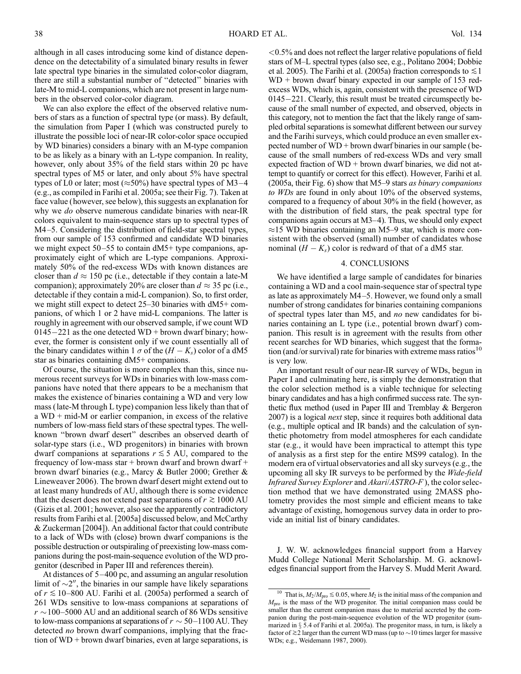although in all cases introducing some kind of distance dependence on the detectability of a simulated binary results in fewer late spectral type binaries in the simulated color-color diagram, there are still a substantial number of ''detected'' binaries with late-M to mid-L companions, which are not present in large numbers in the observed color-color diagram.

We can also explore the effect of the observed relative numbers of stars as a function of spectral type (or mass). By default, the simulation from Paper I (which was constructed purely to illustrate the possible loci of near-IR color-color space occupied by WD binaries) considers a binary with an M-type companion to be as likely as a binary with an L-type companion. In reality, however, only about 35% of the field stars within 20 pc have spectral types of M5 or later, and only about 5% have spectral types of L0 or later; most ( $\approx$ 50%) have spectral types of M3–4 (e.g., as compiled in Farihi et al. 2005a; see their Fig. 7). Taken at face value (however, see below), this suggests an explanation for why we *do* observe numerous candidate binaries with near-IR colors equivalent to main-sequence stars up to spectral types of M4-5. Considering the distribution of field-star spectral types, from our sample of 153 confirmed and candidate WD binaries we might expect  $50-55$  to contain  $dM5+$  type companions, approximately eight of which are L-type companions. Approximately 50% of the red-excess WDs with known distances are closer than  $d \approx 150$  pc (i.e., detectable if they contain a late-M companion); approximately 20% are closer than  $d \approx 35$  pc (i.e., detectable if they contain a mid-L companion). So, to first order, we might still expect to detect  $25-30$  binaries with dM5+ companions, of which 1 or 2 have mid-L companions. The latter is roughly in agreement with our observed sample, if we count WD  $0145-221$  as the one detected WD + brown dwarf binary; however, the former is consistent only if we count essentially all of the binary candidates within 1  $\sigma$  of the  $(H - K_s)$  color of a dM5 star as binaries containing dM5+ companions.

Of course, the situation is more complex than this, since numerous recent surveys for WDs in binaries with low-mass companions have noted that there appears to be a mechanism that makes the existence of binaries containing a WD and very low mass (late-M through L type) companion less likely than that of a WD + mid-M or earlier companion, in excess of the relative numbers of low-mass field stars of these spectral types. The wellknown ''brown dwarf desert'' describes an observed dearth of solar-type stars (i.e., WD progenitors) in binaries with brown dwarf companions at separations  $r \lesssim 5$  AU, compared to the frequency of low-mass star  $+$  brown dwarf and brown dwarf  $+$ brown dwarf binaries (e.g., Marcy & Butler 2000; Grether & Lineweaver 2006). The brown dwarf desert might extend out to at least many hundreds of AU, although there is some evidence that the desert does not extend past separations of  $r \gtrsim 1000 \text{ AU}$ (Gizis et al. 2001; however, also see the apparently contradictory results from Farihi et al. [2005a] discussed below, and McCarthy & Zuckerman [2004]). An additional factor that could contribute to a lack of WDs with (close) brown dwarf companions is the possible destruction or outspiraling of preexisting low-mass companions during the post-main-sequence evolution of the WD progenitor (described in Paper III and references therein).

At distances of  $5-400$  pc, and assuming an angular resolution limit of  $\sim$ 2", the binaries in our sample have likely separations of  $r \le 10-800$  AU. Farihi et al. (2005a) performed a search of 261 WDs sensitive to low-mass companions at separations of  $r \sim$ 100–5000 AU and an additional search of 86 WDs sensitive to low-mass companions at separations of  $r \sim 50-1100$  AU. They detected *no* brown dwarf companions, implying that the fraction of WD + brown dwarf binaries, even at large separations, is

<0.5% and does not reflect the larger relative populations of field stars of M-L spectral types (also see, e.g., Politano 2004; Dobbie et al. 2005). The Farihi et al. (2005a) fraction corresponds to  $\leq 1$ WD + brown dwarf binary expected in our sample of 153 redexcess WDs, which is, again, consistent with the presence of WD  $0145-221$ . Clearly, this result must be treated circumspectly because of the small number of expected, and observed, objects in this category, not to mention the fact that the likely range of sampled orbital separations is somewhat different between our survey and the Farihi surveys, which could produce an even smaller expected number of WD + brown dwarf binaries in our sample (because of the small numbers of red-excess WDs and very small expected fraction of WD + brown dwarf binaries, we did not attempt to quantify or correct for this effect). However, Farihi et al. (2005a, their Fig.  $6$ ) show that M5-9 stars as binary companions to WDs are found in only about 10% of the observed systems, compared to a frequency of about 30% in the field (however, as with the distribution of field stars, the peak spectral type for companions again occurs at  $M3-4$ ). Thus, we should only expect  $\approx$ 15 WD binaries containing an M5–9 star, which is more consistent with the observed (small) number of candidates whose nominal  $(H - K<sub>s</sub>)$  color is redward of that of a dM5 star.

### 4. CONCLUSIONS

We have identified a large sample of candidates for binaries containing a WD and a cool main-sequence star of spectral type as late as approximately  $M4-5$ . However, we found only a small number of strong candidates for binaries containing companions of spectral types later than M5, and no new candidates for binaries containing an L type (i.e., potential brown dwarf) companion. This result is in agreement with the results from other recent searches for WD binaries, which suggest that the formation (and/or survival) rate for binaries with extreme mass ratios<sup>1</sup> is very low.

An important result of our near-IR survey of WDs, begun in Paper I and culminating here, is simply the demonstration that the color selection method is a viable technique for selecting binary candidates and has a high confirmed success rate. The synthetic flux method (used in Paper III and Tremblay & Bergeron 2007) is a logical *next* step, since it requires both additional data (e.g., multiple optical and IR bands) and the calculation of synthetic photometry from model atmospheres for each candidate star (e.g., it would have been impractical to attempt this type of analysis as a first step for the entire MS99 catalog). In the modern era of virtual observatories and all sky surveys (e.g., the upcoming all sky IR surveys to be performed by the Wide-field Infrared Survey Explorer and Akari/ASTRO-F ), the color selection method that we have demonstrated using 2MASS photometry provides the most simple and efficient means to take advantage of existing, homogenous survey data in order to provide an initial list of binary candidates.

J. W. W. acknowledges financial support from a Harvey Mudd College National Merit Scholarship. M. G. acknowledges financial support from the Harvey S. Mudd Merit Award.

<sup>&</sup>lt;sup>10</sup> That is,  $M_2/M_{\text{pro}} \lesssim 0.05$ , where  $M_2$  is the initial mass of the companion and  $M_{\text{pro}}$  is the mass of the WD progenitor. The initial companion mass could be smaller than the current companion mass due to material accreted by the companion during the post-main-sequence evolution of the WD progenitor (summarized in  $\S$  5.4 of Farihi et al. 2005a). The progenitor mass, in turn, is likely a factor of  $\gtrsim$  2 larger than the current WD mass (up to  $\sim$  10 times larger for massive WDs; e.g., Weidemann 1987, 2000).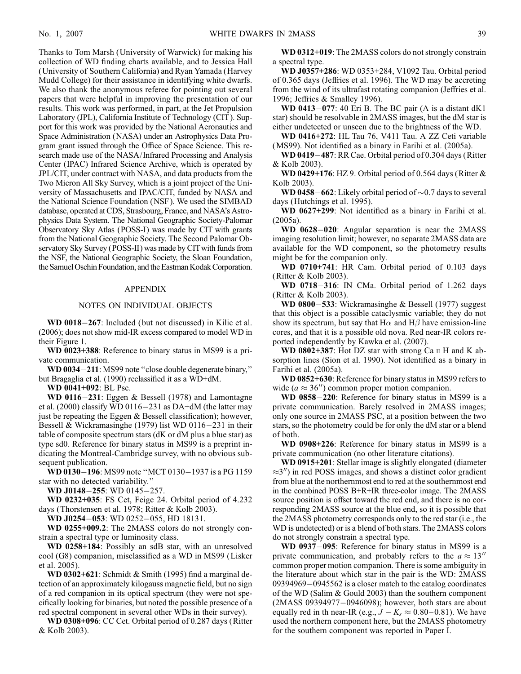Thanks to Tom Marsh (University of Warwick) for making his collection of WD finding charts available, and to Jessica Hall (University of Southern California) and Ryan Yamada (Harvey Mudd College) for their assistance in identifying white dwarfs. We also thank the anonymous referee for pointing out several papers that were helpful in improving the presentation of our results. This work was performed, in part, at the Jet Propulsion Laboratory (JPL), California Institute of Technology (CIT ). Support for this work was provided by the National Aeronautics and Space Administration (NASA) under an Astrophysics Data Program grant issued through the Office of Space Science. This research made use of the NASA/Infrared Processing and Analysis Center (IPAC) Infrared Science Archive, which is operated by JPL/CIT, under contract with NASA, and data products from the Two Micron All Sky Survey, which is a joint project of the University of Massachusetts and IPAC/CIT, funded by NASA and the National Science Foundation (NSF ). We used the SIMBAD database, operated at CDS, Strasbourg, France, and NASA's Astrophysics Data System. The National Geographic Society-Palomar Observatory Sky Atlas (POSS-I) was made by CIT with grants from the National Geographic Society. The Second Palomar Observatory Sky Survey (POSS-II) was made by CIT with funds from the NSF, the National Geographic Society, the Sloan Foundation, the Samuel Oschin Foundation, and the Eastman Kodak Corporation.

#### APPENDIX

## NOTES ON INDIVIDUAL OBJECTS

WD  $0018-267$ : Included (but not discussed) in Kilic et al. (2006); does not show mid-IR excess compared to model WD in their Figure 1.

WD 0023+388: Reference to binary status in MS99 is a private communication.

WD 0034-211: MS99 note "close double degenerate binary," but Bragaglia et al. (1990) reclassified it as a WD+dM.

WD 0041+092: BL Psc.

WD 0116 $-231$ : Eggen & Bessell (1978) and Lamontagne et al. (2000) classify WD 0116-231 as DA+dM (the latter may just be repeating the Eggen & Bessell classification); however, Bessell & Wickramasinghe (1979) list WD 0116 $-231$  in their table of composite spectrum stars (dK or dM plus a blue star) as type sd0. Reference for binary status in MS99 is a preprint indicating the Montreal-Cambridge survey, with no obvious subsequent publication.

WD 0130-196: MS99 note "MCT 0130-1937 is a PG 1159 star with no detected variability.''

WD J0148-255: WD 0145-257.

WD 0232+035: FS Cet, Feige 24. Orbital period of 4.232 days (Thorstensen et al. 1978; Ritter & Kolb 2003).

WD J0254-053: WD 0252-055, HD 18131.

WD 0255+009.2: The 2MASS colors do not strongly constrain a spectral type or luminosity class.

WD 0258+184: Possibly an sdB star, with an unresolved cool (G8) companion, misclassified as a WD in MS99 (Lisker et al. 2005).

WD 0302+621: Schmidt & Smith (1995) find a marginal detection of an approximately kilogauss magnetic field, but no sign of a red companion in its optical spectrum (they were not specifically looking for binaries, but noted the possible presence of a red spectral component in several other WDs in their survey).

WD 0308+096: CC Cet. Orbital period of 0.287 days (Ritter & Kolb 2003).

WD 0312+019: The 2MASS colors do not strongly constrain a spectral type.

WD J0357+286: WD 0353+284, V1092 Tau. Orbital period of 0.365 days (Jeffries et al. 1996). The WD may be accreting from the wind of its ultrafast rotating companion (Jeffries et al. 1996; Jeffries & Smalley 1996).

WD 0413 $-$ 077: 40 Eri B. The BC pair (A is a distant dK1 star) should be resolvable in 2MASS images, but the dM star is either undetected or unseen due to the brightness of the WD.

WD 0416+272: HL Tau 76, V411 Tau. A ZZ Ceti variable (MS99). Not identified as a binary in Farihi et al. (2005a).

WD 0419 $-487$ : RR Cae. Orbital period of 0.304 days (Ritter & Kolb 2003).

WD 0429+176: HZ 9. Orbital period of 0.564 days (Ritter  $\&$ Kolb 2003).

**WD 0458–662**: Likely orbital period of  $\sim 0.7$  days to several days (Hutchings et al. 1995).

WD 0627+299: Not identified as a binary in Farihi et al. (2005a).

WD  $0628-020$ : Angular separation is near the 2MASS imaging resolution limit; however, no separate 2MASS data are available for the WD component, so the photometry results might be for the companion only.

WD 0710+741: HR Cam. Orbital period of 0.103 days (Ritter & Kolb 2003).

WD 0718-316: IN CMa. Orbital period of  $1.262$  days (Ritter & Kolb 2003).

WD 0800-533: Wickramasinghe & Bessell (1977) suggest that this object is a possible cataclysmic variable; they do not show its spectrum, but say that H $\alpha$  and H $\beta$  have emission-line cores, and that it is a possible old nova. Red near-IR colors reported independently by Kawka et al. (2007).

WD 0802+387: Hot DZ star with strong Ca II H and K absorption lines (Sion et al. 1990). Not identified as a binary in Farihi et al. (2005a).

WD 0852+630: Reference for binary status in MS99 refers to wide ( $a \approx 36$ <sup>"</sup>) common proper motion companion.

WD 0858-220: Reference for binary status in MS99 is a private communication. Barely resolved in 2MASS images; only one source in 2MASS PSC, at a position between the two stars, so the photometry could be for only the dM star or a blend of both.

WD 0908+226: Reference for binary status in MS99 is a private communication (no other literature citations).

WD 0915+201: Stellar image is slightly elongated (diameter  $\approx$ 3") in red POSS images, and shows a distinct color gradient from blue at the northernmost end to red at the southernmost end in the combined POSS B+R+IR three-color image. The 2MASS source position is offset toward the red end, and there is no corresponding 2MASS source at the blue end, so it is possible that the 2MASS photometry corresponds only to the red star (i.e., the WD is undetected) or is a blend of both stars. The 2MASS colors do not strongly constrain a spectral type.

WD 0937-095: Reference for binary status in MS99 is a private communication, and probably refers to the  $a \approx 13$ <sup>"</sup> common proper motion companion. There is some ambiguity in the literature about which star in the pair is the WD: 2MASS  $09394969 - 0945562$  is a closer match to the catalog coordinates of the WD (Salim & Gould 2003) than the southern component (2MASS 09394977-0946098); however, both stars are about equally red in th near-IR (e.g.,  $J - K_s \approx 0.80 - 0.81$ ). We have used the northern component here, but the 2MASS photometry for the southern component was reported in Paper I.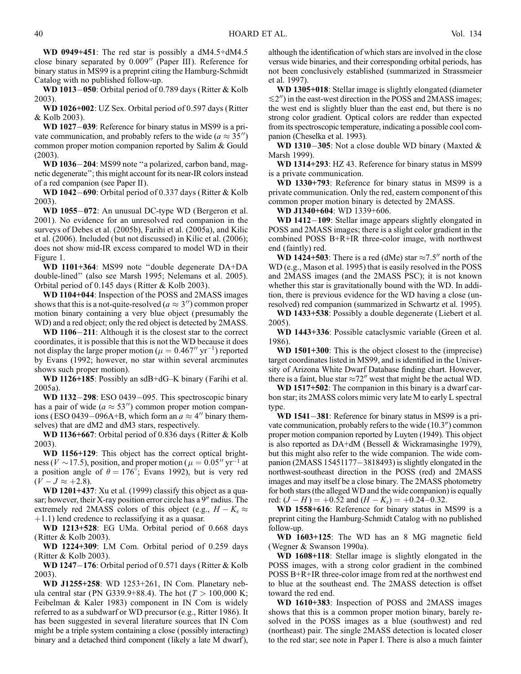WD 0949+451: The red star is possibly a dM4.5+dM4.5 close binary separated by  $0.009''$  (Paper III). Reference for binary status in MS99 is a preprint citing the Hamburg-Schmidt Catalog with no published follow-up.

WD 1013 $-050$ : Orbital period of 0.789 days (Ritter & Kolb 2003).

WD 1026+002: UZ Sex. Orbital period of 0.597 days (Ritter & Kolb 2003).

WD  $1027-039$ : Reference for binary status in MS99 is a private communication, and probably refers to the wide ( $a \approx 35$ ) common proper motion companion reported by Salim & Gould (2003).

WD 1036-204: MS99 note "a polarized, carbon band, magnetic degenerate''; this might account for its near-IR colors instead of a red companion (see Paper II).

**WD 1042–690**: Orbital period of 0.337 days (Ritter & Kolb 2003).

WD 1055-072: An unusual DC-type WD (Bergeron et al. 2001). No evidence for an unresolved red companion in the surveys of Debes et al. (2005b), Farihi et al. (2005a), and Kilic et al. (2006). Included (but not discussed) in Kilic et al. (2006); does not show mid-IR excess compared to model WD in their Figure 1.

WD 1101+364: MS99 note ''double degenerate DA+DA double-lined'' (also see Marsh 1995; Nelemans et al. 2005). Orbital period of 0.145 days (Ritter & Kolb 2003).

WD 1104+044: Inspection of the POSS and 2MASS images shows that this is a not-quite-resolved ( $a \approx 3$ ") common proper motion binary containing a very blue object (presumably the WD) and a red object; only the red object is detected by 2MASS.

WD  $1106-211$ : Although it is the closest star to the correct coordinates, it is possible that this is not the WD because it does not display the large proper motion ( $\mu = 0.467''$  yr<sup>-1</sup>) reported by Evans (1992; however, no star within several arcminutes shows such proper motion).

WD 1126+185: Possibly an sdB+dG-K binary (Farihi et al. 2005a).

WD  $1132-298$ : ESO 0439-095. This spectroscopic binary has a pair of wide ( $a \approx 53$ ") common proper motion companions (ESO 0439-096A+B, which form an  $a \approx 4$ <sup>n</sup> binary themselves) that are dM2 and dM3 stars, respectively.

WD 1136+667: Orbital period of 0.836 days (Ritter & Kolb 2003).

WD 1156+129: This object has the correct optical brightness ( $V \sim 17.5$ ), position, and proper motion ( $\mu = 0.05''$  yr<sup>-1</sup> at a position angle of  $\theta = 176^{\circ}$ ; Evans 1992), but is very red  $(V-J \approx +2.8).$ 

WD 1201+437: Xu et al. (1999) classify this object as a quasar; however, their  $X$ -ray position error circle has a  $9''$  radius. The extremely red 2MASS colors of this object (e.g.,  $H - K_s \approx$  $+1.1$ ) lend credence to reclassifying it as a quasar.

WD 1213+528: EG UMa. Orbital period of 0.668 days (Ritter & Kolb 2003).

WD 1224+309: LM Com. Orbital period of 0.259 days (Ritter & Kolb 2003).

WD 1247 $-176$ : Orbital period of 0.571 days (Ritter & Kolb 2003).

WD J1255+258: WD 1253+261, IN Com. Planetary nebula central star (PN G339.9+88.4). The hot ( $T > 100,000$  K; Feibelman & Kaler 1983) component in IN Com is widely referred to as a subdwarf or WD precursor (e.g., Ritter 1986). It has been suggested in several literature sources that IN Com might be a triple system containing a close (possibly interacting) binary and a detached third component (likely a late M dwarf),

although the identification of which stars are involved in the close versus wide binaries, and their corresponding orbital periods, has not been conclusively established (summarized in Strassmeier et al. 1997).

WD 1305+018: Stellar image is slightly elongated (diameter  $\leq$ 2") in the east-west direction in the POSS and 2MASS images; the west end is slightly bluer than the east end, but there is no strong color gradient. Optical colors are redder than expected from its spectroscopic temperature, indicating a possible cool companion (Cheselka et al. 1993).

WD 1310-305: Not a close double WD binary (Maxted  $\&$ Marsh 1999).

WD 1314+293: HZ 43. Reference for binary status in MS99 is a private communication.

WD 1330+793: Reference for binary status in MS99 is a private communication. Only the red, eastern component of this common proper motion binary is detected by 2MASS.

WD J1340+604: WD 1339+606.

WD  $1412-109$ : Stellar image appears slightly elongated in POSS and 2MASS images; there is a slight color gradient in the combined POSS B+R+IR three-color image, with northwest end (faintly) red.

**WD 1424+503**: There is a red (dMe) star  $\approx 7.5$ <sup>n</sup> north of the WD (e.g., Mason et al. 1995) that is easily resolved in the POSS and 2MASS images (and the 2MASS PSC); it is not known whether this star is gravitationally bound with the WD. In addition, there is previous evidence for the WD having a close (unresolved) red companion (summarized in Schwartz et al. 1995).

WD 1433+538: Possibly a double degenerate (Liebert et al. 2005).

WD 1443+336: Possible cataclysmic variable (Green et al. 1986).

WD 1501+300: This is the object closest to the (imprecise) target coordinates listed in MS99, and is identified in the University of Arizona White Dwarf Database finding chart. However, there is a faint, blue star  $\approx 72$ " west that might be the actual WD.

WD 1517+502: The companion in this binary is a dwarf carbon star; its 2MASS colors mimic very late M to early L spectral type.

WD  $1541-381$ : Reference for binary status in MS99 is a private communication, probably refers to the wide  $(10.3<sup>′</sup>)$  common proper motion companion reported by Luyten (1949). This object is also reported as DA+dM (Bessell & Wickramasinghe 1979), but this might also refer to the wide companion. The wide companion (2MASS  $15451177 - 3818493$ ) is slightly elongated in the northwest-southeast direction in the POSS (red) and 2MASS images and may itself be a close binary. The 2MASS photometry for both stars (the alleged WD and the wide companion) is equally red:  $(J - H) = +0.52$  and  $(H - K_s) = +0.24 - 0.32$ .

WD 1558+616: Reference for binary status in MS99 is a preprint citing the Hamburg-Schmidt Catalog with no published follow-up.

WD 1603+125: The WD has an 8 MG magnetic field (Wegner & Swanson 1990a).

WD 1608+118: Stellar image is slightly elongated in the POSS images, with a strong color gradient in the combined POSS B+R+IR three-color image from red at the northwest end to blue at the southeast end. The 2MASS detection is offset toward the red end.

WD 1610+383: Inspection of POSS and 2MASS images shows that this is a common proper motion binary, barely resolved in the POSS images as a blue (southwest) and red (northeast) pair. The single 2MASS detection is located closer to the red star; see note in Paper I. There is also a much fainter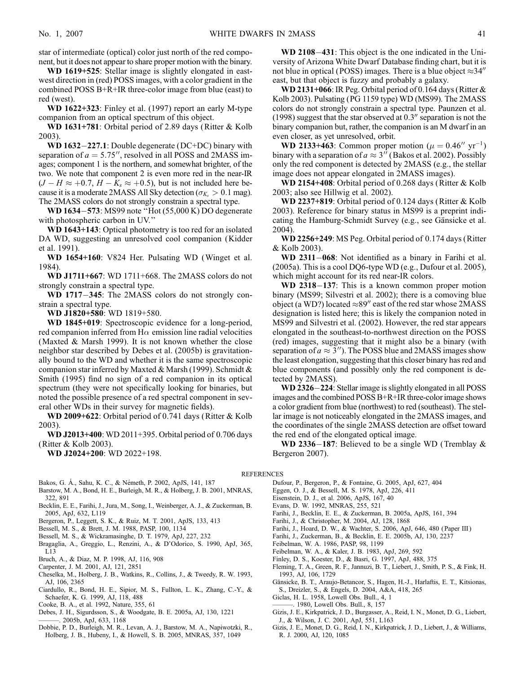star of intermediate (optical) color just north of the red component, but it does not appear to share proper motion with the binary.

WD 1619+525: Stellar image is slightly elongated in eastwest direction in (red) POSS images, with a color gradient in the combined POSS B+R+IR three-color image from blue (east) to red (west).

WD 1622+323: Finley et al. (1997) report an early M-type companion from an optical spectrum of this object.

WD 1631+781: Orbital period of 2.89 days (Ritter & Kolb 2003).

WD  $1632 - 227.1$ : Double degenerate (DC+DC) binary with separation of  $a = 5.75$ ", resolved in all POSS and 2MASS images; component 1 is the northern, and somewhat brighter, of the two. We note that component 2 is even more red in the near-IR  $(J - H \approx +0.7, H - K_s \approx +0.5)$ , but is not included here because it is a moderate 2MASS All Sky detection ( $\sigma_{K_s} > 0.1$  mag). The 2MASS colors do not strongly constrain a spectral type.

WD 1634-573: MS99 note "Hot (55,000 K) DO degenerate with photospheric carbon in UV.''

WD 1643+143: Optical photometry is too red for an isolated DA WD, suggesting an unresolved cool companion (Kidder et al. 1991).

WD 1654+160: V824 Her. Pulsating WD (Winget et al. 1984).

WD J1711+667: WD 1711+668. The 2MASS colors do not strongly constrain a spectral type.

WD 1717-345: The 2MASS colors do not strongly constrain a spectral type.

WD J1820+580: WD 1819+580.

WD 1845+019: Spectroscopic evidence for a long-period, red companion inferred from H $\alpha$  emission line radial velocities (Maxted & Marsh 1999). It is not known whether the close neighbor star described by Debes et al. (2005b) is gravitationally bound to the WD and whether it is the same spectroscopic companion star inferred by Maxted & Marsh (1999). Schmidt & Smith (1995) find no sign of a red companion in its optical spectrum (they were not specifically looking for binaries, but noted the possible presence of a red spectral component in several other WDs in their survey for magnetic fields).

WD 2009+622: Orbital period of 0.741 days (Ritter & Kolb 2003).

WD J2013+400: WD 2011+395. Orbital period of 0.706 days (Ritter & Kolb 2003).

WD J2024+200: WD 2022+198.

- Bakos, G. Á., Sahu, K. C., & Németh, P. 2002, ApJS, 141, 187
- Barstow, M. A., Bond, H. E., Burleigh, M. R., & Holberg, J. B. 2001, MNRAS, 322, 891
- Becklin, E. E., Farihi, J., Jura, M., Song, I., Weinberger, A. J., & Zuckerman, B. 2005, ApJ, 632, L119
- Bergeron, P., Leggett, S. K., & Ruiz, M. T. 2001, ApJS, 133, 413
- Bessell, M. S., & Brett, J. M. 1988, PASP, 100, 1134
- Bessell, M. S., & Wickramasinghe, D. T. 1979, ApJ, 227, 232
- Bragaglia, A., Greggio, L., Renzini, A., & D'Odorico, S. 1990, ApJ, 365, L13
- Bruch, A., & Diaz, M. P. 1998, AJ, 116, 908
- Carpenter, J. M. 2001, AJ, 121, 2851
- Cheselka, M., Holberg, J. B., Watkins, R., Collins, J., & Tweedy, R. W. 1993, AJ, 106, 2365
- Ciardullo, R., Bond, H. E., Sipior, M. S., Fullton, L. K., Zhang, C.-Y., & Schaefer, K. G. 1999, AJ, 118, 488
- Cooke, B. A., et al. 1992, Nature, 355, 61
- Debes, J. H., Sigurdsson, S., & Woodgate, B. E. 2005a, AJ, 130, 1221
- ———. 2005b, ApJ, 633, 1168
- Dobbie, P. D., Burleigh, M. R., Levan, A. J., Barstow, M. A., Napiwotzki, R., Holberg, J. B., Hubeny, I., & Howell, S. B. 2005, MNRAS, 357, 1049

WD  $2108-431$ : This object is the one indicated in the University of Arizona White Dwarf Database finding chart, but it is not blue in optical (POSS) images. There is a blue object  $\approx 34$ <sup>n</sup> east, but that object is fuzzy and probably a galaxy.

WD 2131+066: IR Peg. Orbital period of 0.164 days (Ritter & Kolb 2003). Pulsating (PG 1159 type) WD (MS99). The 2MASS colors do not strongly constrain a spectral type. Paunzen et al. (1998) suggest that the star observed at  $0.3<sup>′</sup>$  separation is not the binary companion but, rather, the companion is an M dwarf in an even closer, as yet unresolved, orbit.

**WD 2133+463:** Common proper motion ( $\mu = 0.46''$  yr<sup>-1</sup>) binary with a separation of  $a \approx 3''$  (Bakos et al. 2002). Possibly only the red component is detected by 2MASS (e.g., the stellar image does not appear elongated in 2MASS images).

WD 2154+408: Orbital period of 0.268 days (Ritter & Kolb 2003; also see Hillwig et al. 2002).

WD 2237+819: Orbital period of 0.124 days (Ritter & Kolb 2003). Reference for binary status in MS99 is a preprint indicating the Hamburg-Schmidt Survey (e.g., see Gänsicke et al. 2004).

WD 2256+249: MS Peg. Orbital period of 0.174 days (Ritter & Kolb 2003).

WD  $2311-068$ : Not identified as a binary in Farihi et al. (2005a). This is a cool DQ6-type WD (e.g., Dufour et al. 2005), which might account for its red near-IR colors.

WD 2318-137: This is a known common proper motion binary (MS99; Silvestri et al. 2002); there is a comoving blue object (a WD?) located  $\approx 89''$  east of the red star whose 2MASS designation is listed here; this is likely the companion noted in MS99 and Silvestri et al. (2002). However, the red star appears elongated in the southeast-to-northwest direction on the POSS (red) images, suggesting that it might also be a binary (with separation of  $a \approx 3$ "). The POSS blue and 2MASS images show the least elongation, suggesting that this closer binary has red and blue components (and possibly only the red component is detected by 2MASS).

WD 2326-224: Stellar image is slightly elongated in all POSS images and the combined POSS B+R+IR three-color image shows a color gradient from blue (northwest) to red (southeast). The stellar image is not noticeably elongated in the 2MASS images, and the coordinates of the single 2MASS detection are offset toward the red end of the elongated optical image.

WD 2336-187: Believed to be a single WD (Tremblay  $\&$ Bergeron 2007).

#### REFERENCES

- Dufour, P., Bergeron, P., & Fontaine, G. 2005, ApJ, 627, 404
- Eggen, O. J., & Bessell, M. S. 1978, ApJ, 226, 411
- Eisenstein, D. J., et al. 2006, ApJS, 167, 40
- Evans, D. W. 1992, MNRAS, 255, 521
- Farihi, J., Becklin, E. E., & Zuckerman, B. 2005a, ApJS, 161, 394
- Farihi, J., & Christopher, M. 2004, AJ, 128, 1868
- Farihi, J., Hoard, D. W., & Wachter, S. 2006, ApJ, 646, 480 ( Paper III )
- Farihi, J., Zuckerman, B., & Becklin, E. E. 2005b, AJ, 130, 2237
- Feibelman, W. A. 1986, PASP, 98, 1199
- Feibelman, W. A., & Kaler, J. B. 1983, ApJ, 269, 592
- Finley, D. S., Koester, D., & Basri, G. 1997, ApJ, 488, 375
- Fleming, T. A., Green, R. F., Jannuzi, B. T., Liebert, J., Smith, P. S., & Fink, H. 1993, AJ, 106, 1729
- Gänsicke, B. T., Araujo-Betancor, S., Hagen, H.-J., Harlaftis, E. T., Kitsionas, S., Dreizler, S., & Engels, D. 2004, A&A, 418, 265
- Giclas, H. L. 1958, Lowell Obs. Bull., 4, 1
- ———. 1980, Lowell Obs. Bull., 8, 157
- Gizis, J. E., Kirkpatrick, J. D., Burgasser, A., Reid, I. N., Monet, D. G., Liebert, J., & Wilson, J. C. 2001, ApJ, 551, L163
- Gizis, J. E., Monet, D. G., Reid, I. N., Kirkpatrick, J. D., Liebert, J., & Williams, R. J. 2000, AJ, 120, 1085